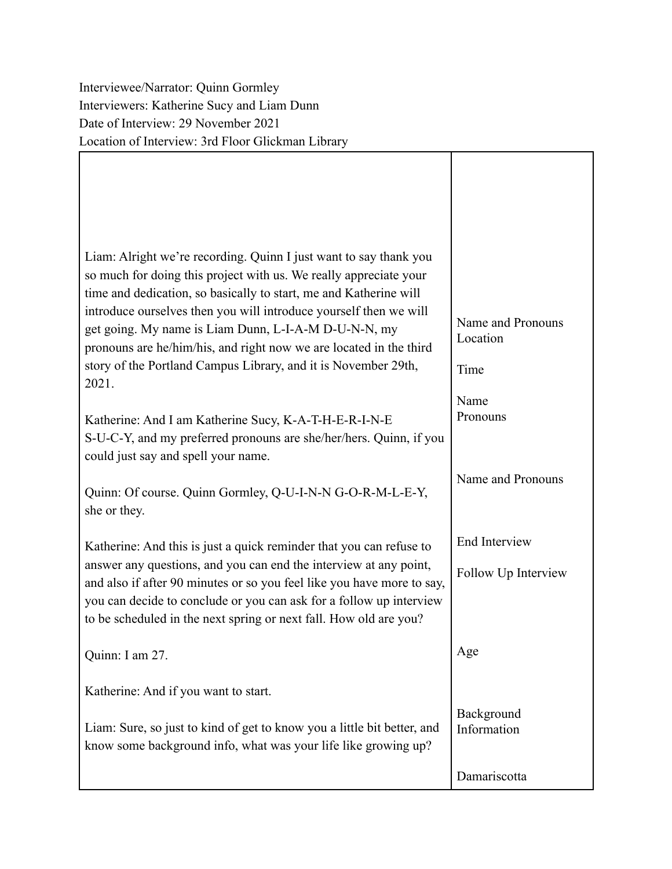Interviewee/Narrator: Quinn Gormley Interviewers: Katherine Sucy and Liam Dunn Date of Interview: 29 November 2021 Location of Interview: 3rd Floor Glickman Library

Г

| Liam: Alright we're recording. Quinn I just want to say thank you<br>so much for doing this project with us. We really appreciate your<br>time and dedication, so basically to start, me and Katherine will<br>introduce ourselves then you will introduce yourself then we will<br>get going. My name is Liam Dunn, L-I-A-M D-U-N-N, my<br>pronouns are he/him/his, and right now we are located in the third<br>story of the Portland Campus Library, and it is November 29th, | Name and Pronouns<br>Location<br>Time |
|----------------------------------------------------------------------------------------------------------------------------------------------------------------------------------------------------------------------------------------------------------------------------------------------------------------------------------------------------------------------------------------------------------------------------------------------------------------------------------|---------------------------------------|
| 2021.<br>Katherine: And I am Katherine Sucy, K-A-T-H-E-R-I-N-E<br>S-U-C-Y, and my preferred pronouns are she/her/hers. Quinn, if you<br>could just say and spell your name.                                                                                                                                                                                                                                                                                                      | Name<br>Pronouns                      |
| Quinn: Of course. Quinn Gormley, Q-U-I-N-N G-O-R-M-L-E-Y,<br>she or they.                                                                                                                                                                                                                                                                                                                                                                                                        | Name and Pronouns                     |
| Katherine: And this is just a quick reminder that you can refuse to<br>answer any questions, and you can end the interview at any point,<br>and also if after 90 minutes or so you feel like you have more to say,<br>you can decide to conclude or you can ask for a follow up interview<br>to be scheduled in the next spring or next fall. How old are you?                                                                                                                   | End Interview<br>Follow Up Interview  |
| Quinn: I am 27.                                                                                                                                                                                                                                                                                                                                                                                                                                                                  | Age                                   |
| Katherine: And if you want to start.<br>Liam: Sure, so just to kind of get to know you a little bit better, and<br>know some background info, what was your life like growing up?                                                                                                                                                                                                                                                                                                | Background<br>Information             |
|                                                                                                                                                                                                                                                                                                                                                                                                                                                                                  | Damariscotta                          |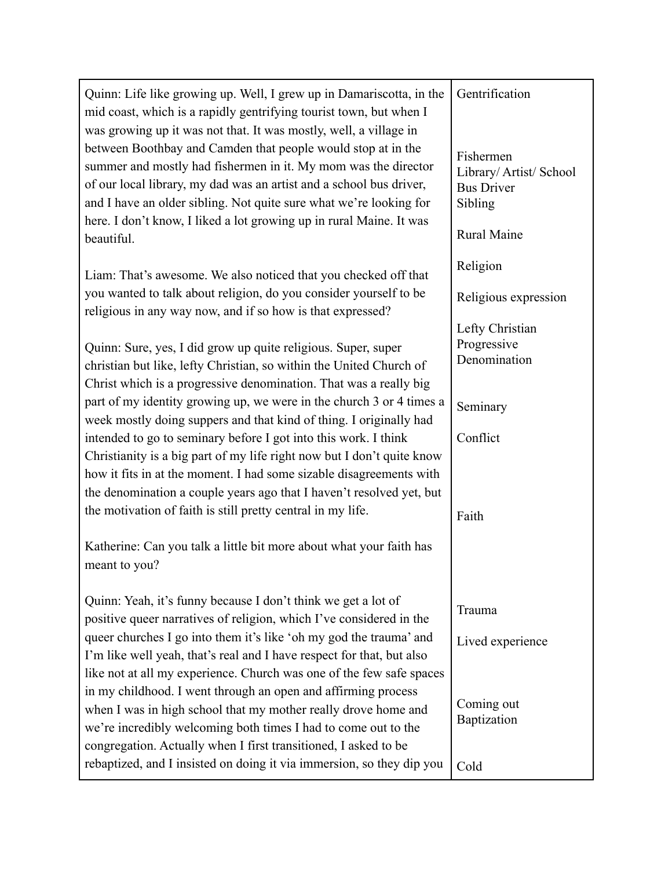| Quinn: Life like growing up. Well, I grew up in Damariscotta, in the<br>mid coast, which is a rapidly gentrifying tourist town, but when I<br>was growing up it was not that. It was mostly, well, a village in<br>between Boothbay and Camden that people would stop at in the<br>summer and mostly had fishermen in it. My mom was the director<br>of our local library, my dad was an artist and a school bus driver,<br>and I have an older sibling. Not quite sure what we're looking for<br>here. I don't know, I liked a lot growing up in rural Maine. It was<br>beautiful. | Gentrification<br>Fishermen<br>Library/ Artist/ School<br><b>Bus Driver</b><br>Sibling<br><b>Rural Maine</b> |
|-------------------------------------------------------------------------------------------------------------------------------------------------------------------------------------------------------------------------------------------------------------------------------------------------------------------------------------------------------------------------------------------------------------------------------------------------------------------------------------------------------------------------------------------------------------------------------------|--------------------------------------------------------------------------------------------------------------|
| Liam: That's awesome. We also noticed that you checked off that<br>you wanted to talk about religion, do you consider yourself to be<br>religious in any way now, and if so how is that expressed?                                                                                                                                                                                                                                                                                                                                                                                  | Religion<br>Religious expression                                                                             |
| Quinn: Sure, yes, I did grow up quite religious. Super, super<br>christian but like, lefty Christian, so within the United Church of<br>Christ which is a progressive denomination. That was a really big                                                                                                                                                                                                                                                                                                                                                                           | Lefty Christian<br>Progressive<br>Denomination                                                               |
| part of my identity growing up, we were in the church 3 or 4 times a<br>week mostly doing suppers and that kind of thing. I originally had                                                                                                                                                                                                                                                                                                                                                                                                                                          | Seminary                                                                                                     |
| intended to go to seminary before I got into this work. I think<br>Christianity is a big part of my life right now but I don't quite know<br>how it fits in at the moment. I had some sizable disagreements with<br>the denomination a couple years ago that I haven't resolved yet, but<br>the motivation of faith is still pretty central in my life.                                                                                                                                                                                                                             | Conflict<br>Faith                                                                                            |
| Katherine: Can you talk a little bit more about what your faith has<br>meant to you?                                                                                                                                                                                                                                                                                                                                                                                                                                                                                                |                                                                                                              |
| Quinn: Yeah, it's funny because I don't think we get a lot of<br>positive queer narratives of religion, which I've considered in the                                                                                                                                                                                                                                                                                                                                                                                                                                                | Trauma                                                                                                       |
| queer churches I go into them it's like 'oh my god the trauma' and<br>I'm like well yeah, that's real and I have respect for that, but also<br>like not at all my experience. Church was one of the few safe spaces                                                                                                                                                                                                                                                                                                                                                                 | Lived experience                                                                                             |
| in my childhood. I went through an open and affirming process<br>when I was in high school that my mother really drove home and<br>we're incredibly welcoming both times I had to come out to the<br>congregation. Actually when I first transitioned, I asked to be                                                                                                                                                                                                                                                                                                                | Coming out<br>Baptization                                                                                    |
| rebaptized, and I insisted on doing it via immersion, so they dip you                                                                                                                                                                                                                                                                                                                                                                                                                                                                                                               | Cold                                                                                                         |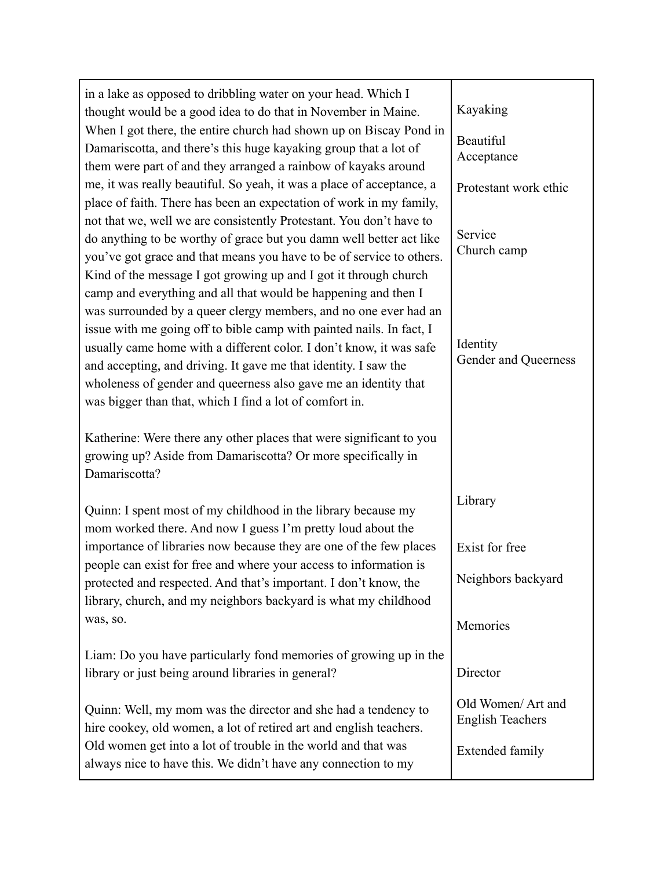| in a lake as opposed to dribbling water on your head. Which I<br>thought would be a good idea to do that in November in Maine.<br>When I got there, the entire church had shown up on Biscay Pond in<br>Damariscotta, and there's this huge kayaking group that a lot of<br>them were part of and they arranged a rainbow of kayaks around<br>me, it was really beautiful. So yeah, it was a place of acceptance, a             | Kayaking<br>Beautiful<br>Acceptance<br>Protestant work ethic            |
|---------------------------------------------------------------------------------------------------------------------------------------------------------------------------------------------------------------------------------------------------------------------------------------------------------------------------------------------------------------------------------------------------------------------------------|-------------------------------------------------------------------------|
| place of faith. There has been an expectation of work in my family,<br>not that we, well we are consistently Protestant. You don't have to<br>do anything to be worthy of grace but you damn well better act like<br>you've got grace and that means you have to be of service to others.<br>Kind of the message I got growing up and I got it through church<br>camp and everything and all that would be happening and then I | Service<br>Church camp                                                  |
| was surrounded by a queer clergy members, and no one ever had an<br>issue with me going off to bible camp with painted nails. In fact, I<br>usually came home with a different color. I don't know, it was safe<br>and accepting, and driving. It gave me that identity. I saw the<br>wholeness of gender and queerness also gave me an identity that<br>was bigger than that, which I find a lot of comfort in.                | Identity<br>Gender and Queerness                                        |
| Katherine: Were there any other places that were significant to you<br>growing up? Aside from Damariscotta? Or more specifically in<br>Damariscotta?                                                                                                                                                                                                                                                                            |                                                                         |
| Quinn: I spent most of my childhood in the library because my<br>mom worked there. And now I guess I'm pretty loud about the                                                                                                                                                                                                                                                                                                    | Library                                                                 |
| importance of libraries now because they are one of the few places<br>people can exist for free and where your access to information is<br>protected and respected. And that's important. I don't know, the<br>library, church, and my neighbors backyard is what my childhood                                                                                                                                                  | Exist for free<br>Neighbors backyard                                    |
| was, so.                                                                                                                                                                                                                                                                                                                                                                                                                        | Memories                                                                |
| Liam: Do you have particularly fond memories of growing up in the<br>library or just being around libraries in general?                                                                                                                                                                                                                                                                                                         | Director                                                                |
| Quinn: Well, my mom was the director and she had a tendency to<br>hire cookey, old women, a lot of retired art and english teachers.<br>Old women get into a lot of trouble in the world and that was<br>always nice to have this. We didn't have any connection to my                                                                                                                                                          | Old Women/ Art and<br><b>English Teachers</b><br><b>Extended family</b> |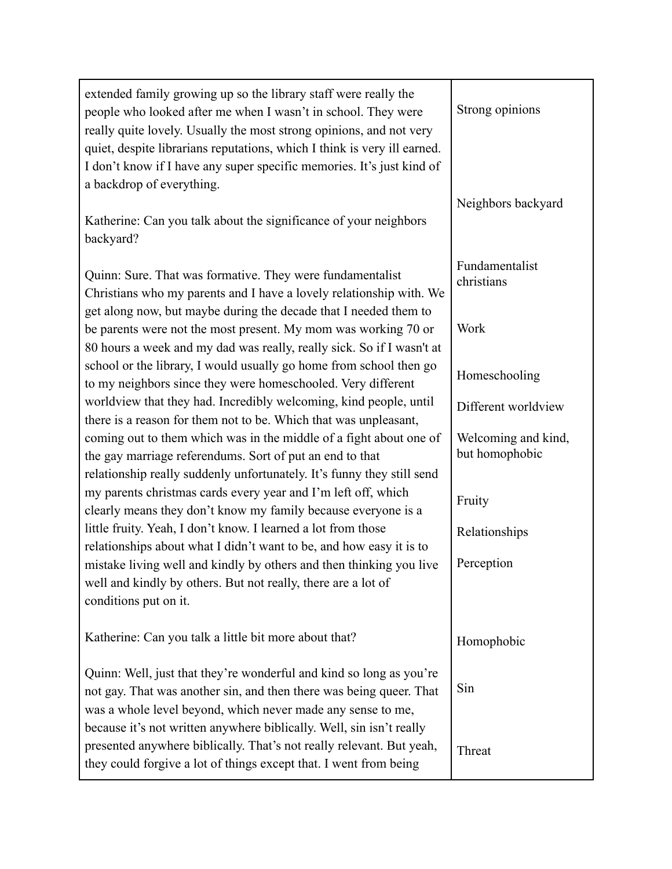| extended family growing up so the library staff were really the<br>people who looked after me when I wasn't in school. They were<br>really quite lovely. Usually the most strong opinions, and not very<br>quiet, despite librarians reputations, which I think is very ill earned.<br>I don't know if I have any super specific memories. It's just kind of<br>a backdrop of everything.<br>Katherine: Can you talk about the significance of your neighbors | Strong opinions<br>Neighbors backyard |
|---------------------------------------------------------------------------------------------------------------------------------------------------------------------------------------------------------------------------------------------------------------------------------------------------------------------------------------------------------------------------------------------------------------------------------------------------------------|---------------------------------------|
| backyard?                                                                                                                                                                                                                                                                                                                                                                                                                                                     |                                       |
| Quinn: Sure. That was formative. They were fundamentalist<br>Christians who my parents and I have a lovely relationship with. We<br>get along now, but maybe during the decade that I needed them to                                                                                                                                                                                                                                                          | Fundamentalist<br>christians          |
| be parents were not the most present. My mom was working 70 or<br>80 hours a week and my dad was really, really sick. So if I wasn't at                                                                                                                                                                                                                                                                                                                       | Work                                  |
| school or the library, I would usually go home from school then go<br>to my neighbors since they were homeschooled. Very different                                                                                                                                                                                                                                                                                                                            | Homeschooling                         |
| worldview that they had. Incredibly welcoming, kind people, until<br>there is a reason for them not to be. Which that was unpleasant,                                                                                                                                                                                                                                                                                                                         | Different worldview                   |
| coming out to them which was in the middle of a fight about one of<br>the gay marriage referendums. Sort of put an end to that<br>relationship really suddenly unfortunately. It's funny they still send                                                                                                                                                                                                                                                      | Welcoming and kind,<br>but homophobic |
| my parents christmas cards every year and I'm left off, which<br>clearly means they don't know my family because everyone is a                                                                                                                                                                                                                                                                                                                                | Fruity                                |
| little fruity. Yeah, I don't know. I learned a lot from those<br>relationships about what I didn't want to be, and how easy it is to                                                                                                                                                                                                                                                                                                                          | Relationships                         |
| mistake living well and kindly by others and then thinking you live<br>well and kindly by others. But not really, there are a lot of<br>conditions put on it.                                                                                                                                                                                                                                                                                                 | Perception                            |
| Katherine: Can you talk a little bit more about that?                                                                                                                                                                                                                                                                                                                                                                                                         | Homophobic                            |
| Quinn: Well, just that they're wonderful and kind so long as you're<br>not gay. That was another sin, and then there was being queer. That<br>was a whole level beyond, which never made any sense to me,<br>because it's not written anywhere biblically. Well, sin isn't really                                                                                                                                                                             | Sin                                   |
| presented anywhere biblically. That's not really relevant. But yeah,<br>they could forgive a lot of things except that. I went from being                                                                                                                                                                                                                                                                                                                     | Threat                                |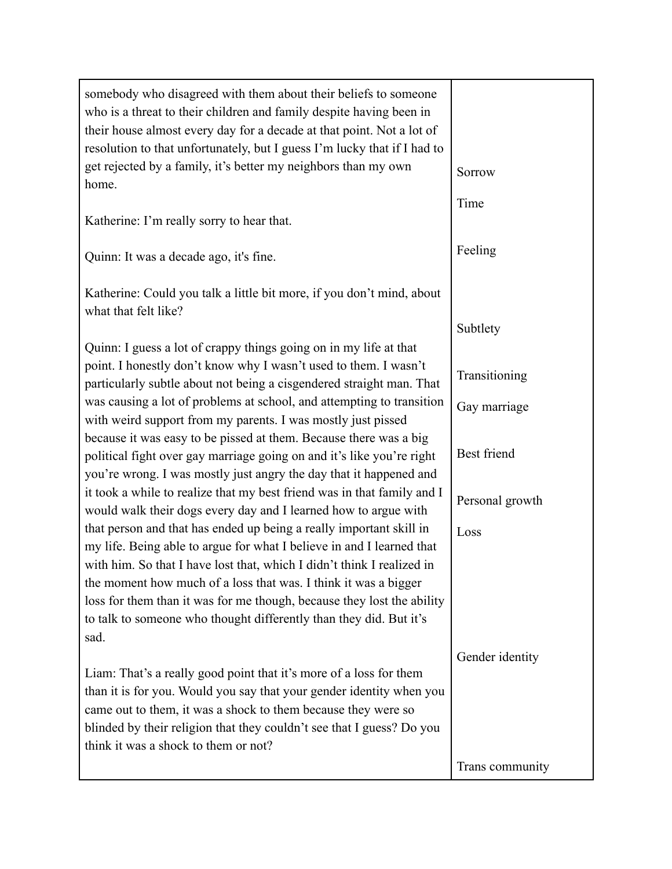| somebody who disagreed with them about their beliefs to someone<br>who is a threat to their children and family despite having been in<br>their house almost every day for a decade at that point. Not a lot of<br>resolution to that unfortunately, but I guess I'm lucky that if I had to<br>get rejected by a family, it's better my neighbors than my own<br>home. | Sorrow          |
|------------------------------------------------------------------------------------------------------------------------------------------------------------------------------------------------------------------------------------------------------------------------------------------------------------------------------------------------------------------------|-----------------|
|                                                                                                                                                                                                                                                                                                                                                                        | Time            |
| Katherine: I'm really sorry to hear that.                                                                                                                                                                                                                                                                                                                              |                 |
| Quinn: It was a decade ago, it's fine.                                                                                                                                                                                                                                                                                                                                 | Feeling         |
| Katherine: Could you talk a little bit more, if you don't mind, about<br>what that felt like?                                                                                                                                                                                                                                                                          |                 |
|                                                                                                                                                                                                                                                                                                                                                                        | Subtlety        |
| Quinn: I guess a lot of crappy things going on in my life at that<br>point. I honestly don't know why I wasn't used to them. I wasn't<br>particularly subtle about not being a cisgendered straight man. That                                                                                                                                                          | Transitioning   |
| was causing a lot of problems at school, and attempting to transition<br>with weird support from my parents. I was mostly just pissed                                                                                                                                                                                                                                  | Gay marriage    |
| because it was easy to be pissed at them. Because there was a big<br>political fight over gay marriage going on and it's like you're right<br>you're wrong. I was mostly just angry the day that it happened and                                                                                                                                                       | Best friend     |
| it took a while to realize that my best friend was in that family and I<br>would walk their dogs every day and I learned how to argue with                                                                                                                                                                                                                             | Personal growth |
| that person and that has ended up being a really important skill in<br>my life. Being able to argue for what I believe in and I learned that                                                                                                                                                                                                                           | Loss            |
| with him. So that I have lost that, which I didn't think I realized in                                                                                                                                                                                                                                                                                                 |                 |
| the moment how much of a loss that was. I think it was a bigger                                                                                                                                                                                                                                                                                                        |                 |
| loss for them than it was for me though, because they lost the ability<br>to talk to someone who thought differently than they did. But it's<br>sad.                                                                                                                                                                                                                   |                 |
|                                                                                                                                                                                                                                                                                                                                                                        | Gender identity |
| Liam: That's a really good point that it's more of a loss for them<br>than it is for you. Would you say that your gender identity when you<br>came out to them, it was a shock to them because they were so<br>blinded by their religion that they couldn't see that I guess? Do you<br>think it was a shock to them or not?                                           |                 |
|                                                                                                                                                                                                                                                                                                                                                                        | Trans community |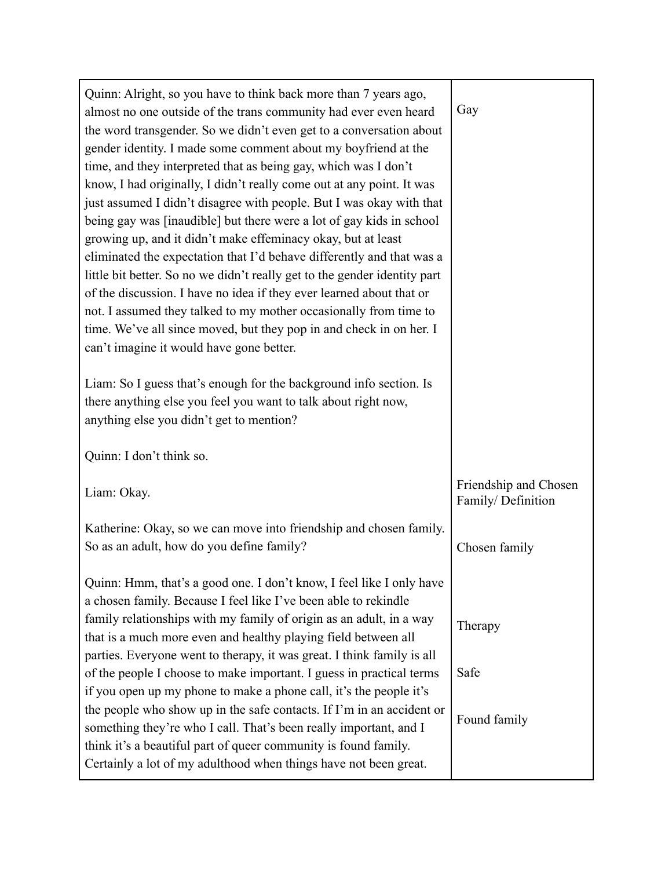| Quinn: Alright, so you have to think back more than 7 years ago,<br>almost no one outside of the trans community had ever even heard<br>the word transgender. So we didn't even get to a conversation about<br>gender identity. I made some comment about my boyfriend at the<br>time, and they interpreted that as being gay, which was I don't<br>know, I had originally, I didn't really come out at any point. It was<br>just assumed I didn't disagree with people. But I was okay with that<br>being gay was [inaudible] but there were a lot of gay kids in school<br>growing up, and it didn't make effeminacy okay, but at least<br>eliminated the expectation that I'd behave differently and that was a<br>little bit better. So no we didn't really get to the gender identity part<br>of the discussion. I have no idea if they ever learned about that or<br>not. I assumed they talked to my mother occasionally from time to<br>time. We've all since moved, but they pop in and check in on her. I<br>can't imagine it would have gone better.<br>Liam: So I guess that's enough for the background info section. Is<br>there anything else you feel you want to talk about right now,<br>anything else you didn't get to mention? | Gay                                        |
|-----------------------------------------------------------------------------------------------------------------------------------------------------------------------------------------------------------------------------------------------------------------------------------------------------------------------------------------------------------------------------------------------------------------------------------------------------------------------------------------------------------------------------------------------------------------------------------------------------------------------------------------------------------------------------------------------------------------------------------------------------------------------------------------------------------------------------------------------------------------------------------------------------------------------------------------------------------------------------------------------------------------------------------------------------------------------------------------------------------------------------------------------------------------------------------------------------------------------------------------------------|--------------------------------------------|
| Quinn: I don't think so.                                                                                                                                                                                                                                                                                                                                                                                                                                                                                                                                                                                                                                                                                                                                                                                                                                                                                                                                                                                                                                                                                                                                                                                                                            |                                            |
| Liam: Okay.                                                                                                                                                                                                                                                                                                                                                                                                                                                                                                                                                                                                                                                                                                                                                                                                                                                                                                                                                                                                                                                                                                                                                                                                                                         | Friendship and Chosen<br>Family/Definition |
| Katherine: Okay, so we can move into friendship and chosen family.<br>So as an adult, how do you define family?                                                                                                                                                                                                                                                                                                                                                                                                                                                                                                                                                                                                                                                                                                                                                                                                                                                                                                                                                                                                                                                                                                                                     | Chosen family                              |
| Quinn: Hmm, that's a good one. I don't know, I feel like I only have<br>a chosen family. Because I feel like I've been able to rekindle<br>family relationships with my family of origin as an adult, in a way<br>that is a much more even and healthy playing field between all<br>parties. Everyone went to therapy, it was great. I think family is all<br>of the people I choose to make important. I guess in practical terms<br>if you open up my phone to make a phone call, it's the people it's<br>the people who show up in the safe contacts. If I'm in an accident or<br>something they're who I call. That's been really important, and I<br>think it's a beautiful part of queer community is found family.<br>Certainly a lot of my adulthood when things have not been great.                                                                                                                                                                                                                                                                                                                                                                                                                                                       | Therapy<br>Safe<br>Found family            |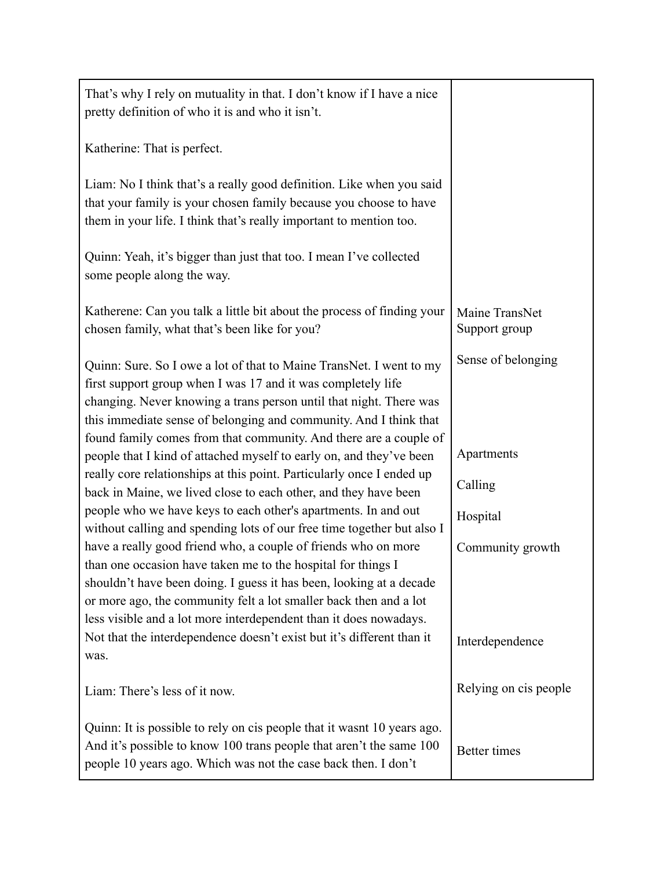| That's why I rely on mutuality in that. I don't know if I have a nice<br>pretty definition of who it is and who it isn't.                                                                                                                                                                                                                       |                                 |
|-------------------------------------------------------------------------------------------------------------------------------------------------------------------------------------------------------------------------------------------------------------------------------------------------------------------------------------------------|---------------------------------|
| Katherine: That is perfect.                                                                                                                                                                                                                                                                                                                     |                                 |
| Liam: No I think that's a really good definition. Like when you said<br>that your family is your chosen family because you choose to have<br>them in your life. I think that's really important to mention too.                                                                                                                                 |                                 |
| Quinn: Yeah, it's bigger than just that too. I mean I've collected<br>some people along the way.                                                                                                                                                                                                                                                |                                 |
| Katherene: Can you talk a little bit about the process of finding your<br>chosen family, what that's been like for you?                                                                                                                                                                                                                         | Maine TransNet<br>Support group |
| Quinn: Sure. So I owe a lot of that to Maine TransNet. I went to my<br>first support group when I was 17 and it was completely life<br>changing. Never knowing a trans person until that night. There was<br>this immediate sense of belonging and community. And I think that                                                                  | Sense of belonging              |
| found family comes from that community. And there are a couple of<br>people that I kind of attached myself to early on, and they've been                                                                                                                                                                                                        | Apartments                      |
| really core relationships at this point. Particularly once I ended up<br>back in Maine, we lived close to each other, and they have been                                                                                                                                                                                                        | Calling                         |
| people who we have keys to each other's apartments. In and out<br>without calling and spending lots of our free time together but also I                                                                                                                                                                                                        | Hospital                        |
| have a really good friend who, a couple of friends who on more<br>than one occasion have taken me to the hospital for things I<br>shouldn't have been doing. I guess it has been, looking at a decade<br>or more ago, the community felt a lot smaller back then and a lot<br>less visible and a lot more interdependent than it does nowadays. | Community growth                |
| Not that the interdependence doesn't exist but it's different than it<br>was.                                                                                                                                                                                                                                                                   | Interdependence                 |
| Liam: There's less of it now.                                                                                                                                                                                                                                                                                                                   | Relying on cis people           |
| Quinn: It is possible to rely on cis people that it wasnt 10 years ago.<br>And it's possible to know 100 trans people that aren't the same 100<br>people 10 years ago. Which was not the case back then. I don't                                                                                                                                | <b>Better</b> times             |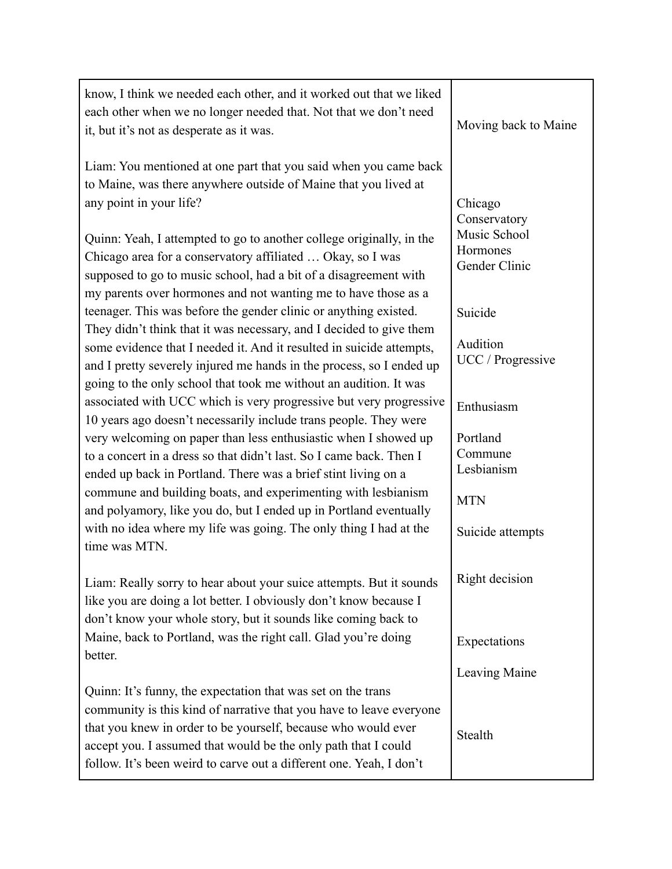| know, I think we needed each other, and it worked out that we liked<br>each other when we no longer needed that. Not that we don't need<br>it, but it's not as desperate as it was.                                                                                                                                                                                      | Moving back to Maine                                                 |
|--------------------------------------------------------------------------------------------------------------------------------------------------------------------------------------------------------------------------------------------------------------------------------------------------------------------------------------------------------------------------|----------------------------------------------------------------------|
| Liam: You mentioned at one part that you said when you came back<br>to Maine, was there anywhere outside of Maine that you lived at<br>any point in your life?<br>Quinn: Yeah, I attempted to go to another college originally, in the<br>Chicago area for a conservatory affiliated  Okay, so I was<br>supposed to go to music school, had a bit of a disagreement with | Chicago<br>Conservatory<br>Music School<br>Hormones<br>Gender Clinic |
| my parents over hormones and not wanting me to have those as a<br>teenager. This was before the gender clinic or anything existed.                                                                                                                                                                                                                                       | Suicide                                                              |
| They didn't think that it was necessary, and I decided to give them<br>some evidence that I needed it. And it resulted in suicide attempts,<br>and I pretty severely injured me hands in the process, so I ended up<br>going to the only school that took me without an audition. It was                                                                                 | Audition<br>UCC / Progressive                                        |
| associated with UCC which is very progressive but very progressive                                                                                                                                                                                                                                                                                                       | Enthusiasm                                                           |
| 10 years ago doesn't necessarily include trans people. They were<br>very welcoming on paper than less enthusiastic when I showed up<br>to a concert in a dress so that didn't last. So I came back. Then I<br>ended up back in Portland. There was a brief stint living on a                                                                                             | Portland<br>Commune<br>Lesbianism                                    |
| commune and building boats, and experimenting with lesbianism<br>and polyamory, like you do, but I ended up in Portland eventually                                                                                                                                                                                                                                       | <b>MTN</b>                                                           |
| with no idea where my life was going. The only thing I had at the<br>time was MTN.                                                                                                                                                                                                                                                                                       | Suicide attempts                                                     |
| Liam: Really sorry to hear about your suice attempts. But it sounds<br>like you are doing a lot better. I obviously don't know because I<br>don't know your whole story, but it sounds like coming back to                                                                                                                                                               | Right decision                                                       |
| Maine, back to Portland, was the right call. Glad you're doing                                                                                                                                                                                                                                                                                                           | Expectations                                                         |
| better.                                                                                                                                                                                                                                                                                                                                                                  | Leaving Maine                                                        |
| Quinn: It's funny, the expectation that was set on the trans<br>community is this kind of narrative that you have to leave everyone<br>that you knew in order to be yourself, because who would ever<br>accept you. I assumed that would be the only path that I could<br>follow. It's been weird to carve out a different one. Yeah, I don't                            | Stealth                                                              |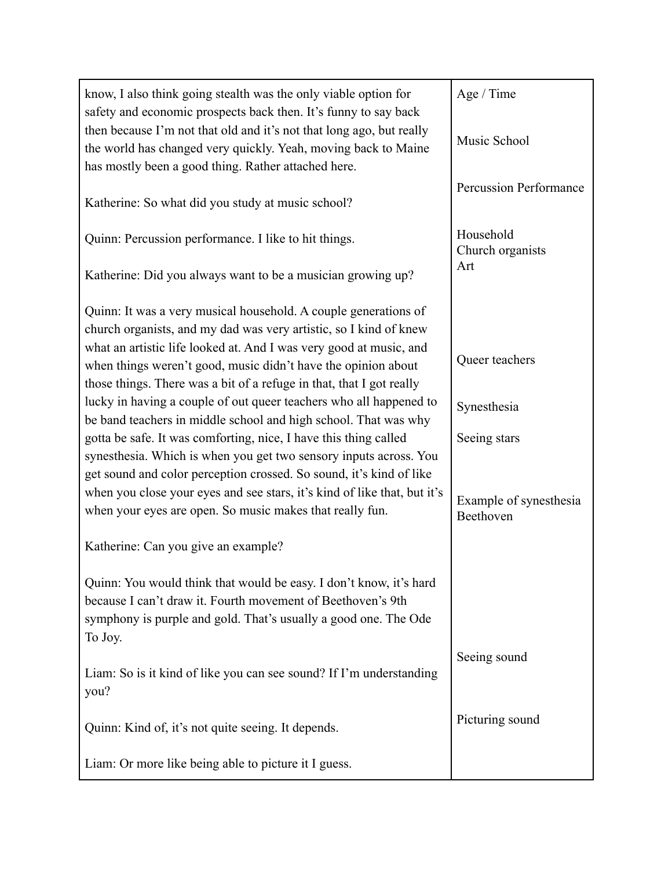| know, I also think going stealth was the only viable option for<br>safety and economic prospects back then. It's funny to say back                                                                              | Age / Time                    |
|-----------------------------------------------------------------------------------------------------------------------------------------------------------------------------------------------------------------|-------------------------------|
| then because I'm not that old and it's not that long ago, but really<br>the world has changed very quickly. Yeah, moving back to Maine<br>has mostly been a good thing. Rather attached here.                   | Music School                  |
| Katherine: So what did you study at music school?                                                                                                                                                               | <b>Percussion Performance</b> |
| Quinn: Percussion performance. I like to hit things.                                                                                                                                                            | Household<br>Church organists |
| Katherine: Did you always want to be a musician growing up?                                                                                                                                                     | Art                           |
| Quinn: It was a very musical household. A couple generations of<br>church organists, and my dad was very artistic, so I kind of knew                                                                            |                               |
| what an artistic life looked at. And I was very good at music, and<br>when things weren't good, music didn't have the opinion about<br>those things. There was a bit of a refuge in that, that I got really     | Queer teachers                |
| lucky in having a couple of out queer teachers who all happened to<br>be band teachers in middle school and high school. That was why                                                                           | Synesthesia                   |
| gotta be safe. It was comforting, nice, I have this thing called<br>synesthesia. Which is when you get two sensory inputs across. You                                                                           | Seeing stars                  |
| get sound and color perception crossed. So sound, it's kind of like<br>when you close your eyes and see stars, it's kind of like that, but it's                                                                 | Example of synesthesia        |
| when your eyes are open. So music makes that really fun.                                                                                                                                                        | Beethoven                     |
| Katherine: Can you give an example?                                                                                                                                                                             |                               |
| Quinn: You would think that would be easy. I don't know, it's hard<br>because I can't draw it. Fourth movement of Beethoven's 9th<br>symphony is purple and gold. That's usually a good one. The Ode<br>To Joy. |                               |
|                                                                                                                                                                                                                 | Seeing sound                  |
| Liam: So is it kind of like you can see sound? If I'm understanding<br>you?                                                                                                                                     |                               |
| Quinn: Kind of, it's not quite seeing. It depends.                                                                                                                                                              | Picturing sound               |
| Liam: Or more like being able to picture it I guess.                                                                                                                                                            |                               |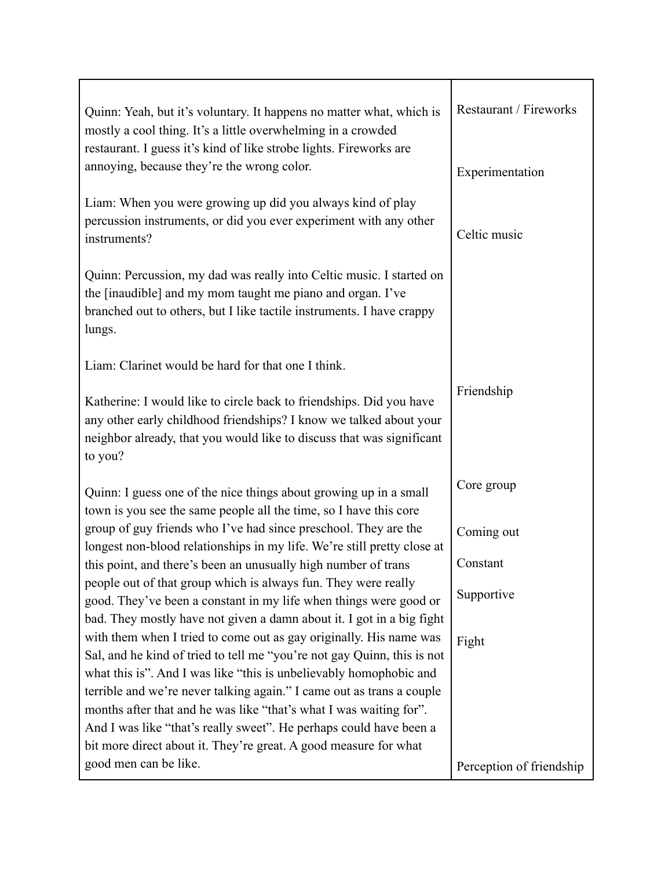| Quinn: Yeah, but it's voluntary. It happens no matter what, which is<br>mostly a cool thing. It's a little overwhelming in a crowded<br>restaurant. I guess it's kind of like strobe lights. Fireworks are<br>annoying, because they're the wrong color.                                                                                                    | Restaurant / Fireworks<br>Experimentation |
|-------------------------------------------------------------------------------------------------------------------------------------------------------------------------------------------------------------------------------------------------------------------------------------------------------------------------------------------------------------|-------------------------------------------|
| Liam: When you were growing up did you always kind of play<br>percussion instruments, or did you ever experiment with any other<br>instruments?                                                                                                                                                                                                             | Celtic music                              |
| Quinn: Percussion, my dad was really into Celtic music. I started on<br>the [inaudible] and my mom taught me piano and organ. I've<br>branched out to others, but I like tactile instruments. I have crappy<br>lungs.                                                                                                                                       |                                           |
| Liam: Clarinet would be hard for that one I think.                                                                                                                                                                                                                                                                                                          |                                           |
| Katherine: I would like to circle back to friendships. Did you have<br>any other early childhood friendships? I know we talked about your<br>neighbor already, that you would like to discuss that was significant<br>to you?                                                                                                                               | Friendship                                |
| Quinn: I guess one of the nice things about growing up in a small<br>town is you see the same people all the time, so I have this core                                                                                                                                                                                                                      | Core group                                |
| group of guy friends who I've had since preschool. They are the<br>longest non-blood relationships in my life. We're still pretty close at                                                                                                                                                                                                                  | Coming out                                |
| this point, and there's been an unusually high number of trans                                                                                                                                                                                                                                                                                              | Constant                                  |
| people out of that group which is always fun. They were really<br>good. They've been a constant in my life when things were good or<br>bad. They mostly have not given a damn about it. I got in a big fight                                                                                                                                                | Supportive                                |
| with them when I tried to come out as gay originally. His name was<br>Sal, and he kind of tried to tell me "you're not gay Quinn, this is not                                                                                                                                                                                                               | Fight                                     |
| what this is". And I was like "this is unbelievably homophobic and<br>terrible and we're never talking again." I came out as trans a couple<br>months after that and he was like "that's what I was waiting for".<br>And I was like "that's really sweet". He perhaps could have been a<br>bit more direct about it. They're great. A good measure for what |                                           |
| good men can be like.                                                                                                                                                                                                                                                                                                                                       | Perception of friendship                  |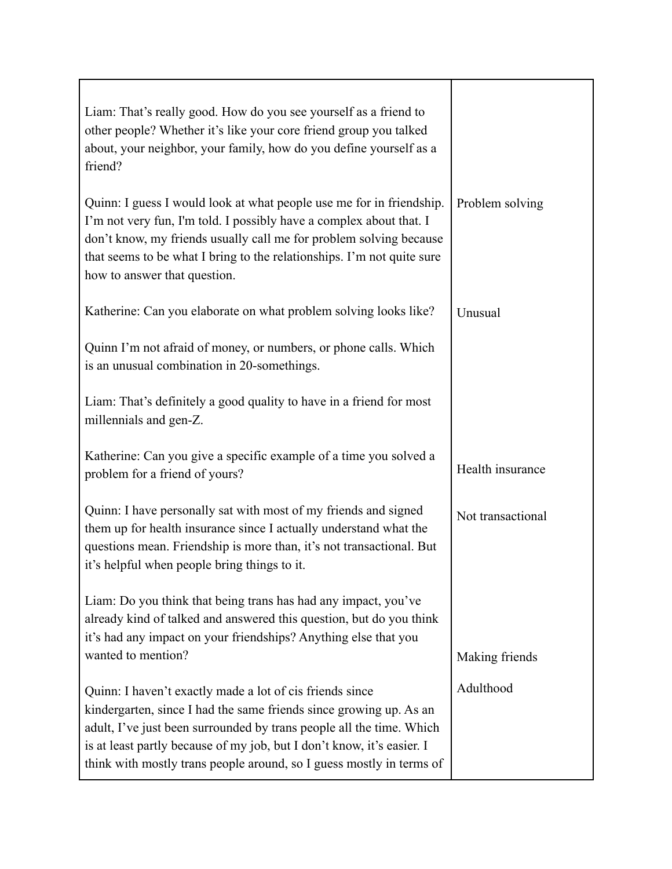| Liam: That's really good. How do you see yourself as a friend to<br>other people? Whether it's like your core friend group you talked<br>about, your neighbor, your family, how do you define yourself as a<br>friend?                                                                                                                                   |                   |
|----------------------------------------------------------------------------------------------------------------------------------------------------------------------------------------------------------------------------------------------------------------------------------------------------------------------------------------------------------|-------------------|
| Quinn: I guess I would look at what people use me for in friendship.<br>I'm not very fun, I'm told. I possibly have a complex about that. I<br>don't know, my friends usually call me for problem solving because<br>that seems to be what I bring to the relationships. I'm not quite sure<br>how to answer that question.                              | Problem solving   |
| Katherine: Can you elaborate on what problem solving looks like?                                                                                                                                                                                                                                                                                         | Unusual           |
| Quinn I'm not afraid of money, or numbers, or phone calls. Which<br>is an unusual combination in 20-somethings.                                                                                                                                                                                                                                          |                   |
| Liam: That's definitely a good quality to have in a friend for most<br>millennials and gen-Z.                                                                                                                                                                                                                                                            |                   |
| Katherine: Can you give a specific example of a time you solved a<br>problem for a friend of yours?                                                                                                                                                                                                                                                      | Health insurance  |
| Quinn: I have personally sat with most of my friends and signed<br>them up for health insurance since I actually understand what the<br>questions mean. Friendship is more than, it's not transactional. But<br>it's helpful when people bring things to it.                                                                                             | Not transactional |
| Liam: Do you think that being trans has had any impact, you've<br>already kind of talked and answered this question, but do you think<br>it's had any impact on your friendships? Anything else that you<br>wanted to mention?                                                                                                                           | Making friends    |
| Quinn: I haven't exactly made a lot of cis friends since<br>kindergarten, since I had the same friends since growing up. As an<br>adult, I've just been surrounded by trans people all the time. Which<br>is at least partly because of my job, but I don't know, it's easier. I<br>think with mostly trans people around, so I guess mostly in terms of | Adulthood         |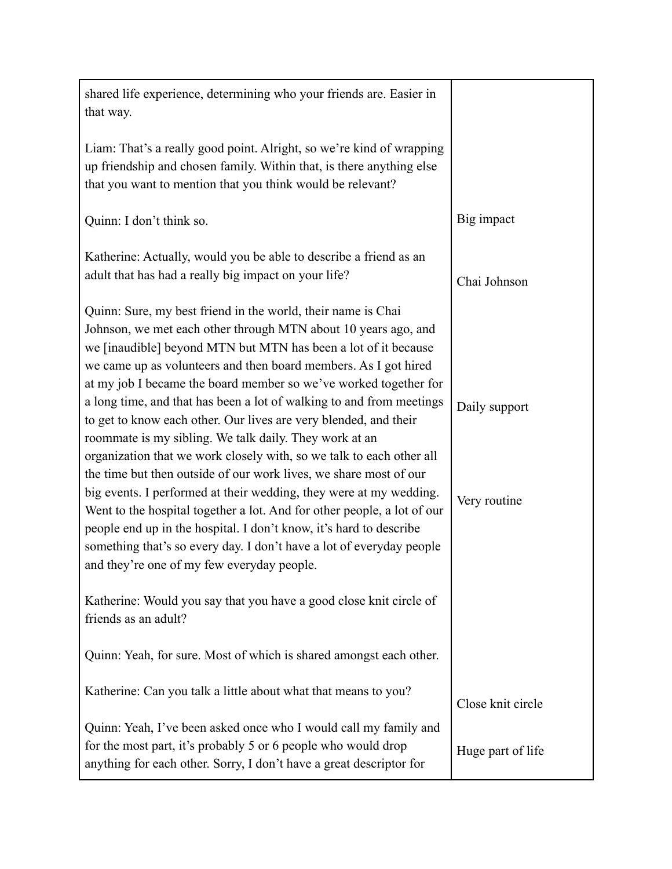| shared life experience, determining who your friends are. Easier in<br>that way.                                                                                                                                                                                                                                                                                                                                                                                                                                                                                                                                                                                                                                                                                                                                                                                                                                                                                                                                                        |                               |
|-----------------------------------------------------------------------------------------------------------------------------------------------------------------------------------------------------------------------------------------------------------------------------------------------------------------------------------------------------------------------------------------------------------------------------------------------------------------------------------------------------------------------------------------------------------------------------------------------------------------------------------------------------------------------------------------------------------------------------------------------------------------------------------------------------------------------------------------------------------------------------------------------------------------------------------------------------------------------------------------------------------------------------------------|-------------------------------|
| Liam: That's a really good point. Alright, so we're kind of wrapping<br>up friendship and chosen family. Within that, is there anything else<br>that you want to mention that you think would be relevant?                                                                                                                                                                                                                                                                                                                                                                                                                                                                                                                                                                                                                                                                                                                                                                                                                              |                               |
| Quinn: I don't think so.                                                                                                                                                                                                                                                                                                                                                                                                                                                                                                                                                                                                                                                                                                                                                                                                                                                                                                                                                                                                                | Big impact                    |
| Katherine: Actually, would you be able to describe a friend as an<br>adult that has had a really big impact on your life?                                                                                                                                                                                                                                                                                                                                                                                                                                                                                                                                                                                                                                                                                                                                                                                                                                                                                                               | Chai Johnson                  |
| Quinn: Sure, my best friend in the world, their name is Chai<br>Johnson, we met each other through MTN about 10 years ago, and<br>we [inaudible] beyond MTN but MTN has been a lot of it because<br>we came up as volunteers and then board members. As I got hired<br>at my job I became the board member so we've worked together for<br>a long time, and that has been a lot of walking to and from meetings<br>to get to know each other. Our lives are very blended, and their<br>roommate is my sibling. We talk daily. They work at an<br>organization that we work closely with, so we talk to each other all<br>the time but then outside of our work lives, we share most of our<br>big events. I performed at their wedding, they were at my wedding.<br>Went to the hospital together a lot. And for other people, a lot of our<br>people end up in the hospital. I don't know, it's hard to describe<br>something that's so every day. I don't have a lot of everyday people<br>and they're one of my few everyday people. | Daily support<br>Very routine |
| Katherine: Would you say that you have a good close knit circle of<br>friends as an adult?                                                                                                                                                                                                                                                                                                                                                                                                                                                                                                                                                                                                                                                                                                                                                                                                                                                                                                                                              |                               |
| Quinn: Yeah, for sure. Most of which is shared amongst each other.                                                                                                                                                                                                                                                                                                                                                                                                                                                                                                                                                                                                                                                                                                                                                                                                                                                                                                                                                                      |                               |
| Katherine: Can you talk a little about what that means to you?                                                                                                                                                                                                                                                                                                                                                                                                                                                                                                                                                                                                                                                                                                                                                                                                                                                                                                                                                                          | Close knit circle             |
| Quinn: Yeah, I've been asked once who I would call my family and<br>for the most part, it's probably 5 or 6 people who would drop<br>anything for each other. Sorry, I don't have a great descriptor for                                                                                                                                                                                                                                                                                                                                                                                                                                                                                                                                                                                                                                                                                                                                                                                                                                | Huge part of life             |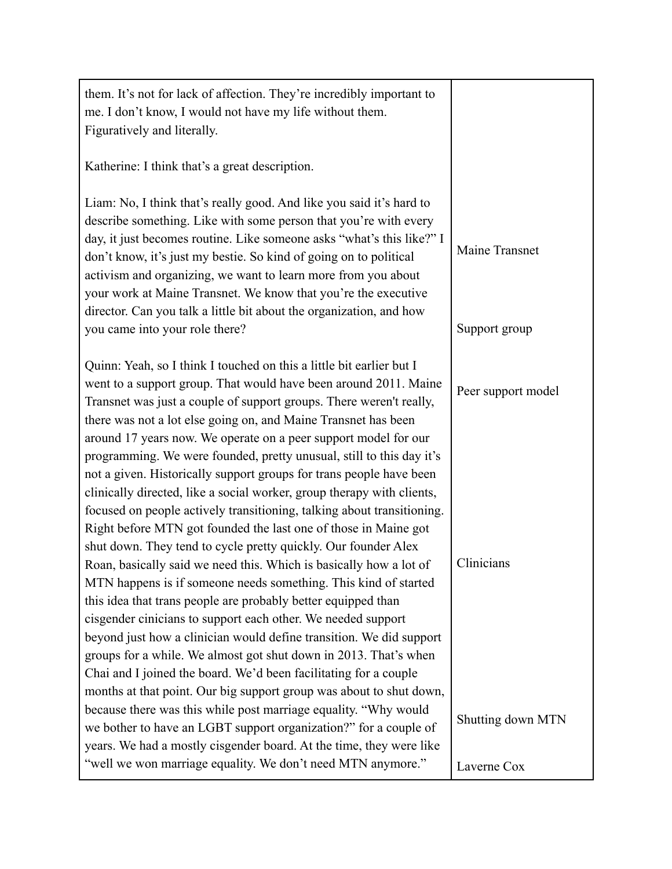| them. It's not for lack of affection. They're incredibly important to<br>me. I don't know, I would not have my life without them.<br>Figuratively and literally.                                                                                                                                                                                                                                                                                                                                           |                                  |
|------------------------------------------------------------------------------------------------------------------------------------------------------------------------------------------------------------------------------------------------------------------------------------------------------------------------------------------------------------------------------------------------------------------------------------------------------------------------------------------------------------|----------------------------------|
| Katherine: I think that's a great description.                                                                                                                                                                                                                                                                                                                                                                                                                                                             |                                  |
| Liam: No, I think that's really good. And like you said it's hard to<br>describe something. Like with some person that you're with every<br>day, it just becomes routine. Like someone asks "what's this like?" I<br>don't know, it's just my bestie. So kind of going on to political<br>activism and organizing, we want to learn more from you about<br>your work at Maine Transnet. We know that you're the executive<br>director. Can you talk a little bit about the organization, and how           | Maine Transnet                   |
| you came into your role there?                                                                                                                                                                                                                                                                                                                                                                                                                                                                             | Support group                    |
| Quinn: Yeah, so I think I touched on this a little bit earlier but I<br>went to a support group. That would have been around 2011. Maine<br>Transnet was just a couple of support groups. There weren't really,<br>there was not a lot else going on, and Maine Transnet has been<br>around 17 years now. We operate on a peer support model for our                                                                                                                                                       | Peer support model               |
| programming. We were founded, pretty unusual, still to this day it's<br>not a given. Historically support groups for trans people have been<br>clinically directed, like a social worker, group therapy with clients,<br>focused on people actively transitioning, talking about transitioning.<br>Right before MTN got founded the last one of those in Maine got<br>shut down. They tend to cycle pretty quickly. Our founder Alex<br>Roan, basically said we need this. Which is basically how a lot of | Clinicians                       |
| MTN happens is if someone needs something. This kind of started<br>this idea that trans people are probably better equipped than<br>cisgender cinicians to support each other. We needed support<br>beyond just how a clinician would define transition. We did support<br>groups for a while. We almost got shut down in 2013. That's when                                                                                                                                                                |                                  |
| Chai and I joined the board. We'd been facilitating for a couple<br>months at that point. Our big support group was about to shut down,<br>because there was this while post marriage equality. "Why would<br>we bother to have an LGBT support organization?" for a couple of<br>years. We had a mostly cisgender board. At the time, they were like<br>"well we won marriage equality. We don't need MTN anymore."                                                                                       | Shutting down MTN<br>Laverne Cox |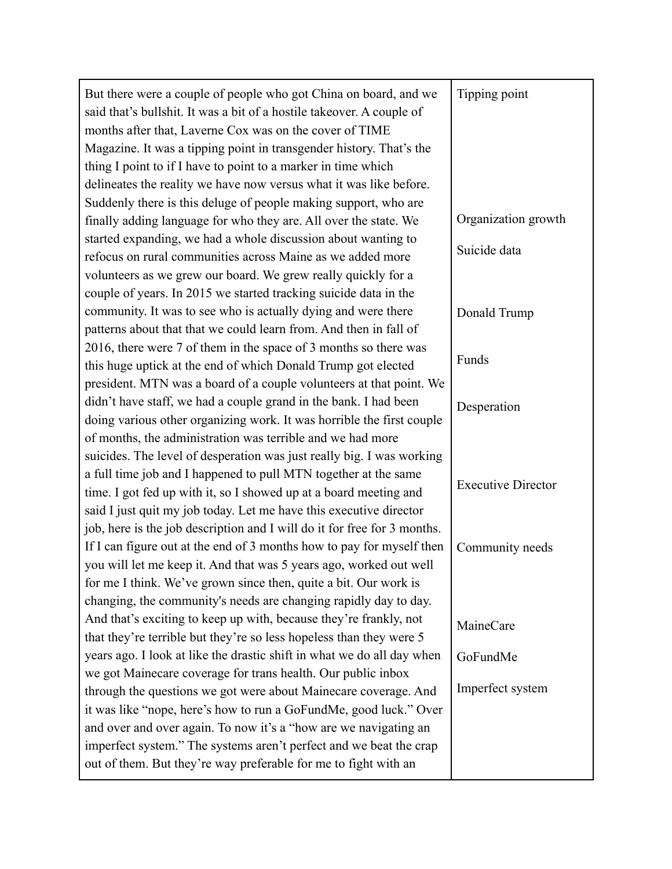| But there were a couple of people who got China on board, and we<br>said that's bullshit. It was a bit of a hostile takeover. A couple of<br>months after that, Laverne Cox was on the cover of TIME<br>Magazine. It was a tipping point in transgender history. That's the<br>thing I point to if I have to point to a marker in time which | Tipping point             |
|----------------------------------------------------------------------------------------------------------------------------------------------------------------------------------------------------------------------------------------------------------------------------------------------------------------------------------------------|---------------------------|
| delineates the reality we have now versus what it was like before.                                                                                                                                                                                                                                                                           |                           |
| Suddenly there is this deluge of people making support, who are                                                                                                                                                                                                                                                                              |                           |
| finally adding language for who they are. All over the state. We                                                                                                                                                                                                                                                                             | Organization growth       |
| started expanding, we had a whole discussion about wanting to<br>refocus on rural communities across Maine as we added more                                                                                                                                                                                                                  | Suicide data              |
| volunteers as we grew our board. We grew really quickly for a                                                                                                                                                                                                                                                                                |                           |
| couple of years. In 2015 we started tracking suicide data in the                                                                                                                                                                                                                                                                             |                           |
| community. It was to see who is actually dying and were there                                                                                                                                                                                                                                                                                | Donald Trump              |
| patterns about that that we could learn from. And then in fall of                                                                                                                                                                                                                                                                            |                           |
| 2016, there were 7 of them in the space of 3 months so there was                                                                                                                                                                                                                                                                             |                           |
| this huge uptick at the end of which Donald Trump got elected                                                                                                                                                                                                                                                                                | Funds                     |
| president. MTN was a board of a couple volunteers at that point. We                                                                                                                                                                                                                                                                          |                           |
| didn't have staff, we had a couple grand in the bank. I had been                                                                                                                                                                                                                                                                             | Desperation               |
| doing various other organizing work. It was horrible the first couple                                                                                                                                                                                                                                                                        |                           |
| of months, the administration was terrible and we had more                                                                                                                                                                                                                                                                                   |                           |
| suicides. The level of desperation was just really big. I was working                                                                                                                                                                                                                                                                        |                           |
| a full time job and I happened to pull MTN together at the same                                                                                                                                                                                                                                                                              |                           |
| time. I got fed up with it, so I showed up at a board meeting and                                                                                                                                                                                                                                                                            | <b>Executive Director</b> |
| said I just quit my job today. Let me have this executive director                                                                                                                                                                                                                                                                           |                           |
| job, here is the job description and I will do it for free for 3 months.                                                                                                                                                                                                                                                                     |                           |
| If I can figure out at the end of 3 months how to pay for myself then                                                                                                                                                                                                                                                                        | Community needs           |
| you will let me keep it. And that was 5 years ago, worked out well                                                                                                                                                                                                                                                                           |                           |
| for me I think. We've grown since then, quite a bit. Our work is                                                                                                                                                                                                                                                                             |                           |
| changing, the community's needs are changing rapidly day to day.                                                                                                                                                                                                                                                                             |                           |
| And that's exciting to keep up with, because they're frankly, not                                                                                                                                                                                                                                                                            | MaineCare                 |
| that they're terrible but they're so less hopeless than they were 5                                                                                                                                                                                                                                                                          |                           |
| years ago. I look at like the drastic shift in what we do all day when                                                                                                                                                                                                                                                                       | GoFundMe                  |
| we got Mainecare coverage for trans health. Our public inbox                                                                                                                                                                                                                                                                                 |                           |
| through the questions we got were about Mainecare coverage. And                                                                                                                                                                                                                                                                              | Imperfect system          |
| it was like "nope, here's how to run a GoFundMe, good luck." Over                                                                                                                                                                                                                                                                            |                           |
| and over and over again. To now it's a "how are we navigating an                                                                                                                                                                                                                                                                             |                           |
| imperfect system." The systems aren't perfect and we beat the crap                                                                                                                                                                                                                                                                           |                           |
| out of them. But they're way preferable for me to fight with an                                                                                                                                                                                                                                                                              |                           |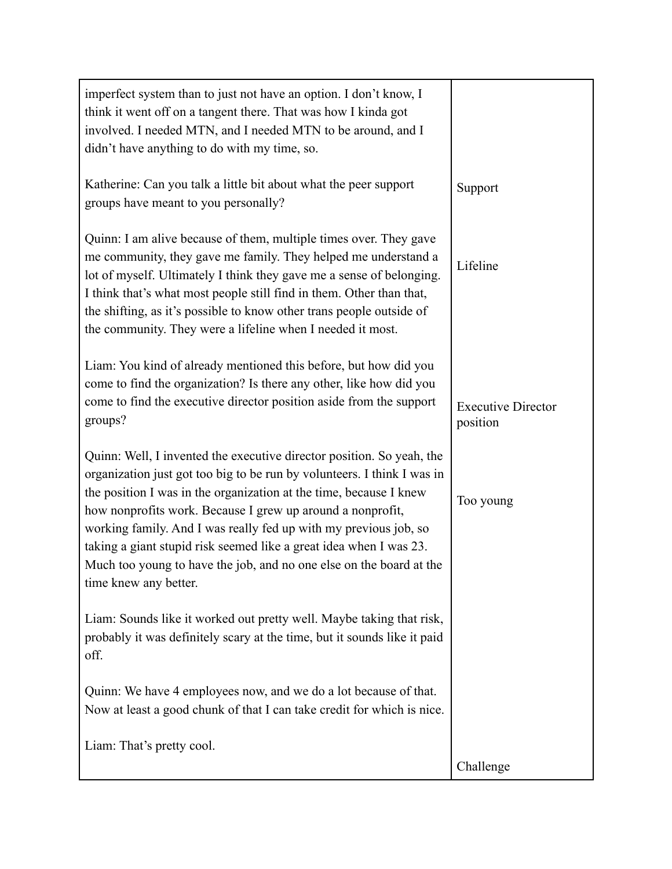| imperfect system than to just not have an option. I don't know, I<br>think it went off on a tangent there. That was how I kinda got<br>involved. I needed MTN, and I needed MTN to be around, and I<br>didn't have anything to do with my time, so.                                                                                                                                                                                                                                                                            |                                       |
|--------------------------------------------------------------------------------------------------------------------------------------------------------------------------------------------------------------------------------------------------------------------------------------------------------------------------------------------------------------------------------------------------------------------------------------------------------------------------------------------------------------------------------|---------------------------------------|
| Katherine: Can you talk a little bit about what the peer support<br>groups have meant to you personally?                                                                                                                                                                                                                                                                                                                                                                                                                       | Support                               |
| Quinn: I am alive because of them, multiple times over. They gave<br>me community, they gave me family. They helped me understand a<br>lot of myself. Ultimately I think they gave me a sense of belonging.<br>I think that's what most people still find in them. Other than that,<br>the shifting, as it's possible to know other trans people outside of<br>the community. They were a lifeline when I needed it most.                                                                                                      | Lifeline                              |
| Liam: You kind of already mentioned this before, but how did you<br>come to find the organization? Is there any other, like how did you<br>come to find the executive director position aside from the support<br>groups?                                                                                                                                                                                                                                                                                                      | <b>Executive Director</b><br>position |
| Quinn: Well, I invented the executive director position. So yeah, the<br>organization just got too big to be run by volunteers. I think I was in<br>the position I was in the organization at the time, because I knew<br>how nonprofits work. Because I grew up around a nonprofit,<br>working family. And I was really fed up with my previous job, so<br>taking a giant stupid risk seemed like a great idea when I was 23.<br>Much too young to have the job, and no one else on the board at the<br>time knew any better. | Too young                             |
| Liam: Sounds like it worked out pretty well. Maybe taking that risk,<br>probably it was definitely scary at the time, but it sounds like it paid<br>off.                                                                                                                                                                                                                                                                                                                                                                       |                                       |
| Quinn: We have 4 employees now, and we do a lot because of that.<br>Now at least a good chunk of that I can take credit for which is nice.                                                                                                                                                                                                                                                                                                                                                                                     |                                       |
| Liam: That's pretty cool.                                                                                                                                                                                                                                                                                                                                                                                                                                                                                                      | Challenge                             |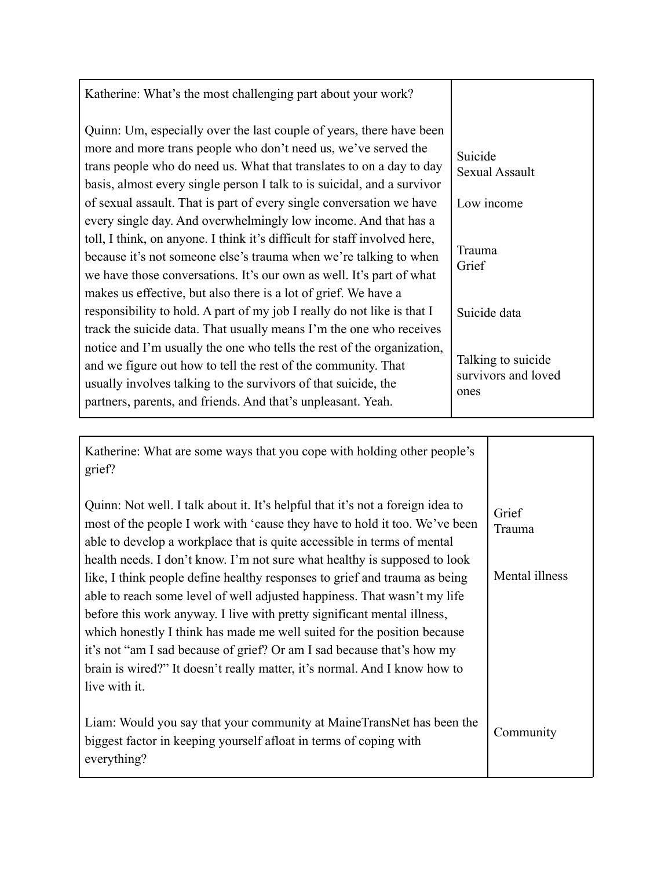| Katherine: What's the most challenging part about your work?                                                                                                                                                                                                                              |                                                   |
|-------------------------------------------------------------------------------------------------------------------------------------------------------------------------------------------------------------------------------------------------------------------------------------------|---------------------------------------------------|
| Quinn: Um, especially over the last couple of years, there have been<br>more and more trans people who don't need us, we've served the<br>trans people who do need us. What that translates to on a day to day<br>basis, almost every single person I talk to is suicidal, and a survivor | Suicide<br><b>Sexual Assault</b>                  |
| of sexual assault. That is part of every single conversation we have                                                                                                                                                                                                                      | Low income                                        |
| every single day. And overwhelmingly low income. And that has a<br>toll, I think, on anyone. I think it's difficult for staff involved here,<br>because it's not someone else's trauma when we're talking to when<br>we have those conversations. It's our own as well. It's part of what | Trauma<br>Grief                                   |
| makes us effective, but also there is a lot of grief. We have a<br>responsibility to hold. A part of my job I really do not like is that I<br>track the suicide data. That usually means I'm the one who receives                                                                         | Suicide data                                      |
| notice and I'm usually the one who tells the rest of the organization,<br>and we figure out how to tell the rest of the community. That<br>usually involves talking to the survivors of that suicide, the<br>partners, parents, and friends. And that's unpleasant. Yeah.                 | Talking to suicide<br>survivors and loved<br>ones |

| Katherine: What are some ways that you cope with holding other people's<br>grief?                                                                                                                                                                                                                                                                                                                                                                                                                                                                                 |                 |
|-------------------------------------------------------------------------------------------------------------------------------------------------------------------------------------------------------------------------------------------------------------------------------------------------------------------------------------------------------------------------------------------------------------------------------------------------------------------------------------------------------------------------------------------------------------------|-----------------|
| Quinn: Not well. I talk about it. It's helpful that it's not a foreign idea to<br>most of the people I work with 'cause they have to hold it too. We've been<br>able to develop a workplace that is quite accessible in terms of mental                                                                                                                                                                                                                                                                                                                           | Grief<br>Trauma |
| health needs. I don't know. I'm not sure what healthy is supposed to look<br>like, I think people define healthy responses to grief and trauma as being<br>able to reach some level of well adjusted happiness. That wasn't my life<br>before this work anyway. I live with pretty significant mental illness,<br>which honestly I think has made me well suited for the position because<br>it's not "am I sad because of grief? Or am I sad because that's how my<br>brain is wired?" It doesn't really matter, it's normal. And I know how to<br>live with it. | Mental illness  |
| Liam: Would you say that your community at MaineTransNet has been the<br>biggest factor in keeping yourself afloat in terms of coping with<br>everything?                                                                                                                                                                                                                                                                                                                                                                                                         | Community       |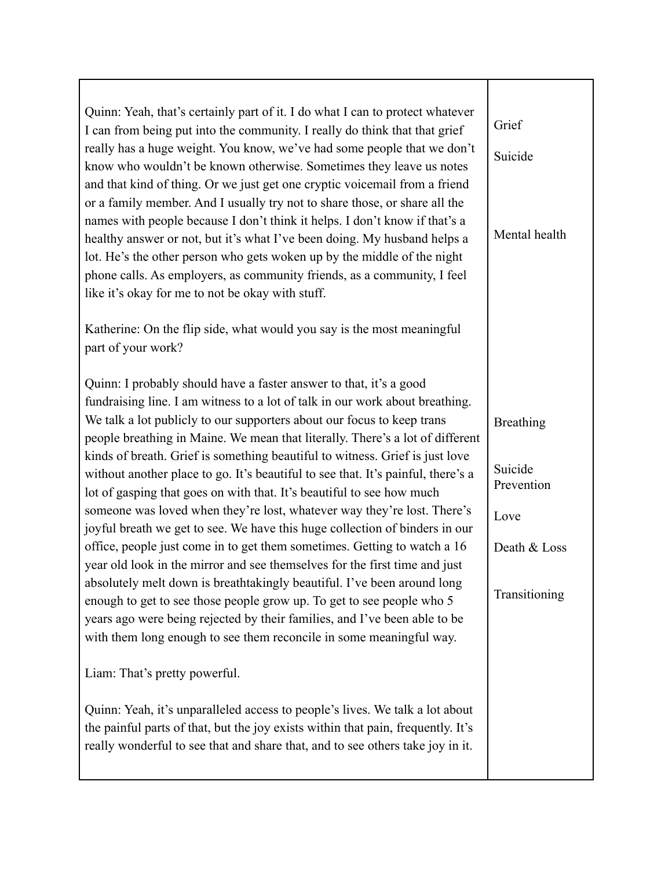| Quinn: Yeah, that's certainly part of it. I do what I can to protect whatever<br>I can from being put into the community. I really do think that that grief                                                                   | Grief                 |
|-------------------------------------------------------------------------------------------------------------------------------------------------------------------------------------------------------------------------------|-----------------------|
| really has a huge weight. You know, we've had some people that we don't<br>know who wouldn't be known otherwise. Sometimes they leave us notes                                                                                | Suicide               |
| and that kind of thing. Or we just get one cryptic voicemail from a friend<br>or a family member. And I usually try not to share those, or share all the                                                                      |                       |
| names with people because I don't think it helps. I don't know if that's a                                                                                                                                                    | Mental health         |
| healthy answer or not, but it's what I've been doing. My husband helps a<br>lot. He's the other person who gets woken up by the middle of the night                                                                           |                       |
| phone calls. As employers, as community friends, as a community, I feel<br>like it's okay for me to not be okay with stuff.                                                                                                   |                       |
| Katherine: On the flip side, what would you say is the most meaningful                                                                                                                                                        |                       |
| part of your work?                                                                                                                                                                                                            |                       |
| Quinn: I probably should have a faster answer to that, it's a good                                                                                                                                                            |                       |
| fundraising line. I am witness to a lot of talk in our work about breathing.<br>We talk a lot publicly to our supporters about our focus to keep trans                                                                        | <b>Breathing</b>      |
| people breathing in Maine. We mean that literally. There's a lot of different<br>kinds of breath. Grief is something beautiful to witness. Grief is just love                                                                 |                       |
| without another place to go. It's beautiful to see that. It's painful, there's a<br>lot of gasping that goes on with that. It's beautiful to see how much                                                                     | Suicide<br>Prevention |
| someone was loved when they're lost, whatever way they're lost. There's<br>joyful breath we get to see. We have this huge collection of binders in our                                                                        | Love                  |
| office, people just come in to get them sometimes. Getting to watch a 16<br>year old look in the mirror and see themselves for the first time and just                                                                        | Death & Loss          |
| absolutely melt down is breathtakingly beautiful. I've been around long<br>enough to get to see those people grow up. To get to see people who 5<br>years ago were being rejected by their families, and I've been able to be | Transitioning         |
| with them long enough to see them reconcile in some meaningful way.                                                                                                                                                           |                       |
| Liam: That's pretty powerful.                                                                                                                                                                                                 |                       |
| Quinn: Yeah, it's unparalleled access to people's lives. We talk a lot about<br>the painful parts of that, but the joy exists within that pain, frequently. It's                                                              |                       |
| really wonderful to see that and share that, and to see others take joy in it.                                                                                                                                                |                       |
|                                                                                                                                                                                                                               |                       |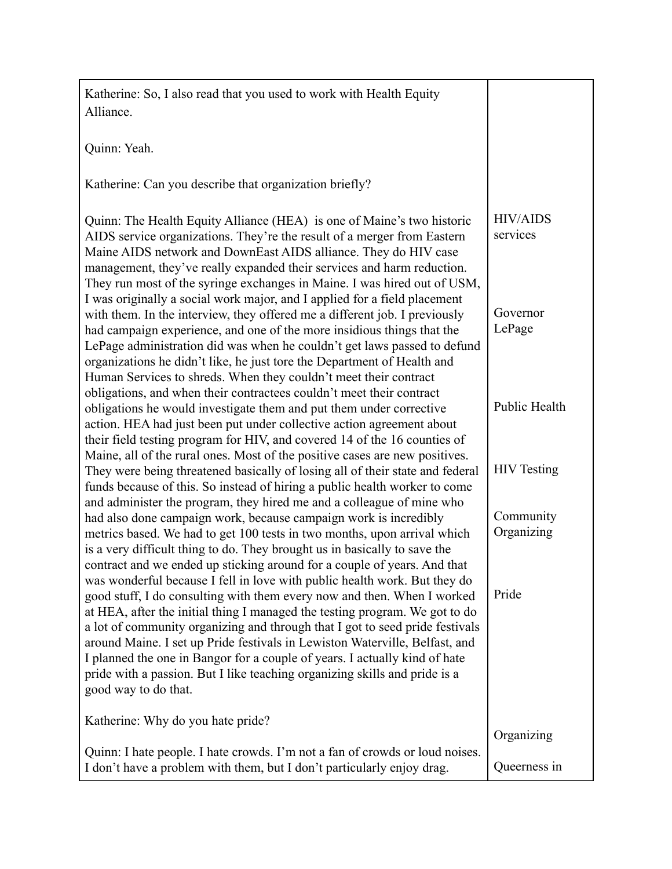| Katherine: So, I also read that you used to work with Health Equity                                                                                                                                                                                                                                                                                                                                                                                                                                                                                                                                                                                                |                             |
|--------------------------------------------------------------------------------------------------------------------------------------------------------------------------------------------------------------------------------------------------------------------------------------------------------------------------------------------------------------------------------------------------------------------------------------------------------------------------------------------------------------------------------------------------------------------------------------------------------------------------------------------------------------------|-----------------------------|
| Alliance.                                                                                                                                                                                                                                                                                                                                                                                                                                                                                                                                                                                                                                                          |                             |
|                                                                                                                                                                                                                                                                                                                                                                                                                                                                                                                                                                                                                                                                    |                             |
| Quinn: Yeah.                                                                                                                                                                                                                                                                                                                                                                                                                                                                                                                                                                                                                                                       |                             |
|                                                                                                                                                                                                                                                                                                                                                                                                                                                                                                                                                                                                                                                                    |                             |
| Katherine: Can you describe that organization briefly?                                                                                                                                                                                                                                                                                                                                                                                                                                                                                                                                                                                                             |                             |
| Quinn: The Health Equity Alliance (HEA) is one of Maine's two historic<br>AIDS service organizations. They're the result of a merger from Eastern<br>Maine AIDS network and DownEast AIDS alliance. They do HIV case<br>management, they've really expanded their services and harm reduction.<br>They run most of the syringe exchanges in Maine. I was hired out of USM,                                                                                                                                                                                                                                                                                         | <b>HIV/AIDS</b><br>services |
| I was originally a social work major, and I applied for a field placement<br>with them. In the interview, they offered me a different job. I previously<br>had campaign experience, and one of the more insidious things that the<br>LePage administration did was when he couldn't get laws passed to defund<br>organizations he didn't like, he just tore the Department of Health and<br>Human Services to shreds. When they couldn't meet their contract                                                                                                                                                                                                       | Governor<br>LePage          |
| obligations, and when their contractees couldn't meet their contract<br>obligations he would investigate them and put them under corrective<br>action. HEA had just been put under collective action agreement about<br>their field testing program for HIV, and covered 14 of the 16 counties of                                                                                                                                                                                                                                                                                                                                                                  | Public Health               |
| Maine, all of the rural ones. Most of the positive cases are new positives.<br>They were being threatened basically of losing all of their state and federal<br>funds because of this. So instead of hiring a public health worker to come<br>and administer the program, they hired me and a colleague of mine who                                                                                                                                                                                                                                                                                                                                                | <b>HIV</b> Testing          |
| had also done campaign work, because campaign work is incredibly<br>metrics based. We had to get 100 tests in two months, upon arrival which<br>is a very difficult thing to do. They brought us in basically to save the                                                                                                                                                                                                                                                                                                                                                                                                                                          | Community<br>Organizing     |
| contract and we ended up sticking around for a couple of years. And that<br>was wonderful because I fell in love with public health work. But they do<br>good stuff, I do consulting with them every now and then. When I worked<br>at HEA, after the initial thing I managed the testing program. We got to do<br>a lot of community organizing and through that I got to seed pride festivals<br>around Maine. I set up Pride festivals in Lewiston Waterville, Belfast, and<br>I planned the one in Bangor for a couple of years. I actually kind of hate<br>pride with a passion. But I like teaching organizing skills and pride is a<br>good way to do that. | Pride                       |
| Katherine: Why do you hate pride?                                                                                                                                                                                                                                                                                                                                                                                                                                                                                                                                                                                                                                  | Organizing                  |
| Quinn: I hate people. I hate crowds. I'm not a fan of crowds or loud noises.<br>I don't have a problem with them, but I don't particularly enjoy drag.                                                                                                                                                                                                                                                                                                                                                                                                                                                                                                             | Queerness in                |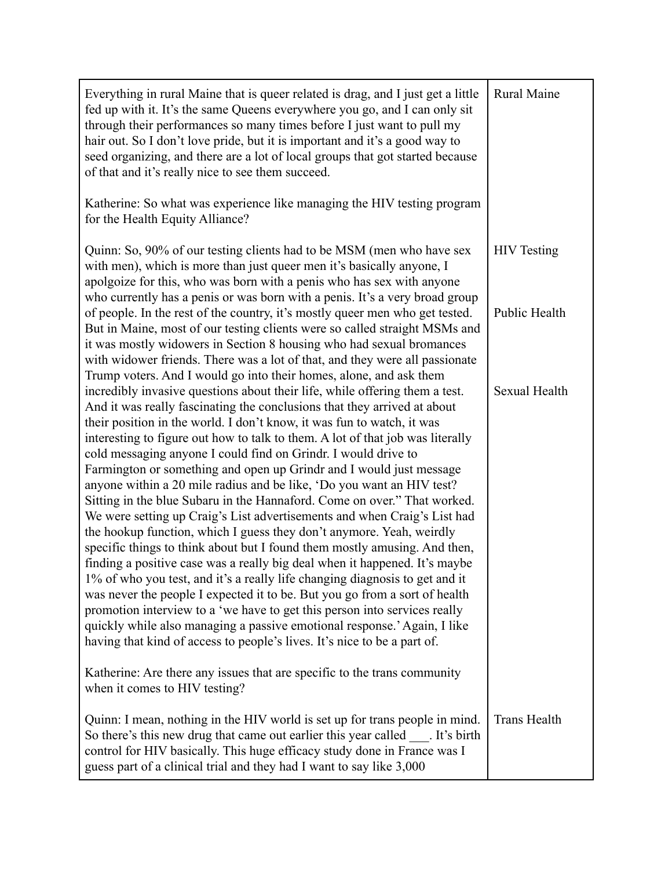| Everything in rural Maine that is queer related is drag, and I just get a little<br>fed up with it. It's the same Queens everywhere you go, and I can only sit<br>through their performances so many times before I just want to pull my<br>hair out. So I don't love pride, but it is important and it's a good way to<br>seed organizing, and there are a lot of local groups that got started because<br>of that and it's really nice to see them succeed.                                                                                                                                                                                                                                                                                                                                                                                                                                                                                                                                                                                                                                                                                                                                                                                                                                                                                                                                            | Rural Maine         |
|----------------------------------------------------------------------------------------------------------------------------------------------------------------------------------------------------------------------------------------------------------------------------------------------------------------------------------------------------------------------------------------------------------------------------------------------------------------------------------------------------------------------------------------------------------------------------------------------------------------------------------------------------------------------------------------------------------------------------------------------------------------------------------------------------------------------------------------------------------------------------------------------------------------------------------------------------------------------------------------------------------------------------------------------------------------------------------------------------------------------------------------------------------------------------------------------------------------------------------------------------------------------------------------------------------------------------------------------------------------------------------------------------------|---------------------|
| Katherine: So what was experience like managing the HIV testing program<br>for the Health Equity Alliance?                                                                                                                                                                                                                                                                                                                                                                                                                                                                                                                                                                                                                                                                                                                                                                                                                                                                                                                                                                                                                                                                                                                                                                                                                                                                                               |                     |
| Quinn: So, 90% of our testing clients had to be MSM (men who have sex<br>with men), which is more than just queer men it's basically anyone, I<br>apolgoize for this, who was born with a penis who has sex with anyone                                                                                                                                                                                                                                                                                                                                                                                                                                                                                                                                                                                                                                                                                                                                                                                                                                                                                                                                                                                                                                                                                                                                                                                  | <b>HIV</b> Testing  |
| who currently has a penis or was born with a penis. It's a very broad group<br>of people. In the rest of the country, it's mostly queer men who get tested.<br>But in Maine, most of our testing clients were so called straight MSMs and<br>it was mostly widowers in Section 8 housing who had sexual bromances<br>with widower friends. There was a lot of that, and they were all passionate                                                                                                                                                                                                                                                                                                                                                                                                                                                                                                                                                                                                                                                                                                                                                                                                                                                                                                                                                                                                         | Public Health       |
| Trump voters. And I would go into their homes, alone, and ask them<br>incredibly invasive questions about their life, while offering them a test.<br>And it was really fascinating the conclusions that they arrived at about<br>their position in the world. I don't know, it was fun to watch, it was<br>interesting to figure out how to talk to them. A lot of that job was literally<br>cold messaging anyone I could find on Grindr. I would drive to<br>Farmington or something and open up Grindr and I would just message<br>anyone within a 20 mile radius and be like, 'Do you want an HIV test?<br>Sitting in the blue Subaru in the Hannaford. Come on over." That worked.<br>We were setting up Craig's List advertisements and when Craig's List had<br>the hookup function, which I guess they don't anymore. Yeah, weirdly<br>specific things to think about but I found them mostly amusing. And then,<br>finding a positive case was a really big deal when it happened. It's maybe<br>1% of who you test, and it's a really life changing diagnosis to get and it<br>was never the people I expected it to be. But you go from a sort of health<br>promotion interview to a 'we have to get this person into services really<br>quickly while also managing a passive emotional response.' Again, I like<br>having that kind of access to people's lives. It's nice to be a part of. | Sexual Health       |
| Katherine: Are there any issues that are specific to the trans community<br>when it comes to HIV testing?                                                                                                                                                                                                                                                                                                                                                                                                                                                                                                                                                                                                                                                                                                                                                                                                                                                                                                                                                                                                                                                                                                                                                                                                                                                                                                |                     |
| Quinn: I mean, nothing in the HIV world is set up for trans people in mind.<br>So there's this new drug that came out earlier this year called ____. It's birth<br>control for HIV basically. This huge efficacy study done in France was I<br>guess part of a clinical trial and they had I want to say like 3,000                                                                                                                                                                                                                                                                                                                                                                                                                                                                                                                                                                                                                                                                                                                                                                                                                                                                                                                                                                                                                                                                                      | <b>Trans Health</b> |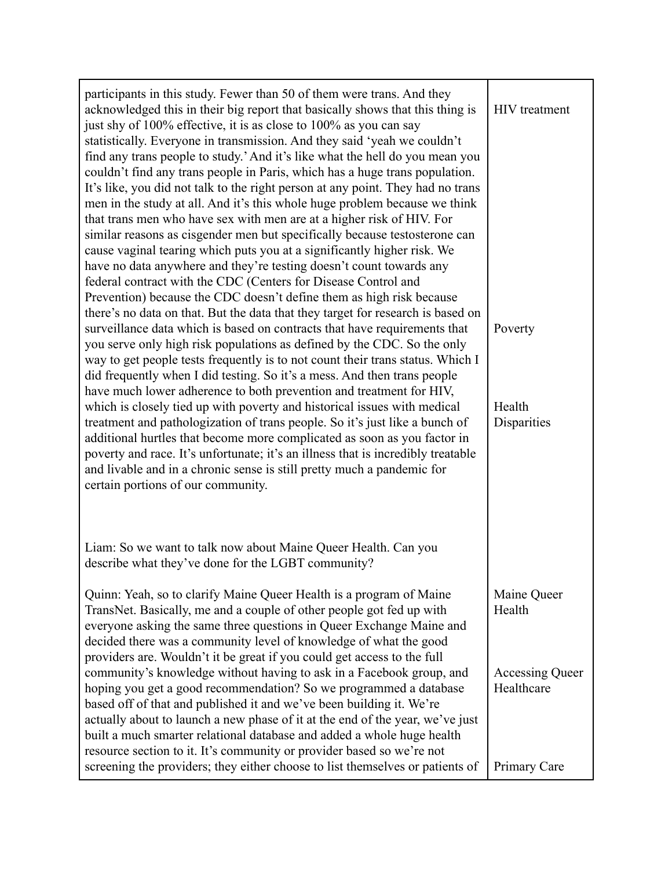| participants in this study. Fewer than 50 of them were trans. And they<br>acknowledged this in their big report that basically shows that this thing is<br>just shy of 100% effective, it is as close to 100% as you can say<br>statistically. Everyone in transmission. And they said 'yeah we couldn't<br>find any trans people to study.' And it's like what the hell do you mean you<br>couldn't find any trans people in Paris, which has a huge trans population.<br>It's like, you did not talk to the right person at any point. They had no trans<br>men in the study at all. And it's this whole huge problem because we think<br>that trans men who have sex with men are at a higher risk of HIV. For<br>similar reasons as cisgender men but specifically because testosterone can<br>cause vaginal tearing which puts you at a significantly higher risk. We<br>have no data anywhere and they're testing doesn't count towards any<br>federal contract with the CDC (Centers for Disease Control and<br>Prevention) because the CDC doesn't define them as high risk because<br>there's no data on that. But the data that they target for research is based on<br>surveillance data which is based on contracts that have requirements that<br>you serve only high risk populations as defined by the CDC. So the only<br>way to get people tests frequently is to not count their trans status. Which I<br>did frequently when I did testing. So it's a mess. And then trans people<br>have much lower adherence to both prevention and treatment for HIV,<br>which is closely tied up with poverty and historical issues with medical<br>treatment and pathologization of trans people. So it's just like a bunch of<br>additional hurtles that become more complicated as soon as you factor in<br>poverty and race. It's unfortunate; it's an illness that is incredibly treatable<br>and livable and in a chronic sense is still pretty much a pandemic for<br>certain portions of our community.<br>Liam: So we want to talk now about Maine Queer Health. Can you<br>describe what they've done for the LGBT community? | HIV treatment<br>Poverty<br>Health<br>Disparities |
|------------------------------------------------------------------------------------------------------------------------------------------------------------------------------------------------------------------------------------------------------------------------------------------------------------------------------------------------------------------------------------------------------------------------------------------------------------------------------------------------------------------------------------------------------------------------------------------------------------------------------------------------------------------------------------------------------------------------------------------------------------------------------------------------------------------------------------------------------------------------------------------------------------------------------------------------------------------------------------------------------------------------------------------------------------------------------------------------------------------------------------------------------------------------------------------------------------------------------------------------------------------------------------------------------------------------------------------------------------------------------------------------------------------------------------------------------------------------------------------------------------------------------------------------------------------------------------------------------------------------------------------------------------------------------------------------------------------------------------------------------------------------------------------------------------------------------------------------------------------------------------------------------------------------------------------------------------------------------------------------------------------------------------------------------------------------------------------------------------------------------------------------|---------------------------------------------------|
| Quinn: Yeah, so to clarify Maine Queer Health is a program of Maine<br>TransNet. Basically, me and a couple of other people got fed up with<br>everyone asking the same three questions in Queer Exchange Maine and<br>decided there was a community level of knowledge of what the good<br>providers are. Wouldn't it be great if you could get access to the full                                                                                                                                                                                                                                                                                                                                                                                                                                                                                                                                                                                                                                                                                                                                                                                                                                                                                                                                                                                                                                                                                                                                                                                                                                                                                                                                                                                                                                                                                                                                                                                                                                                                                                                                                                            | Maine Queer<br>Health                             |
| community's knowledge without having to ask in a Facebook group, and<br>hoping you get a good recommendation? So we programmed a database<br>based off of that and published it and we've been building it. We're<br>actually about to launch a new phase of it at the end of the year, we've just<br>built a much smarter relational database and added a whole huge health<br>resource section to it. It's community or provider based so we're not                                                                                                                                                                                                                                                                                                                                                                                                                                                                                                                                                                                                                                                                                                                                                                                                                                                                                                                                                                                                                                                                                                                                                                                                                                                                                                                                                                                                                                                                                                                                                                                                                                                                                          | Accessing Queer<br>Healthcare                     |
| screening the providers; they either choose to list themselves or patients of                                                                                                                                                                                                                                                                                                                                                                                                                                                                                                                                                                                                                                                                                                                                                                                                                                                                                                                                                                                                                                                                                                                                                                                                                                                                                                                                                                                                                                                                                                                                                                                                                                                                                                                                                                                                                                                                                                                                                                                                                                                                  | Primary Care                                      |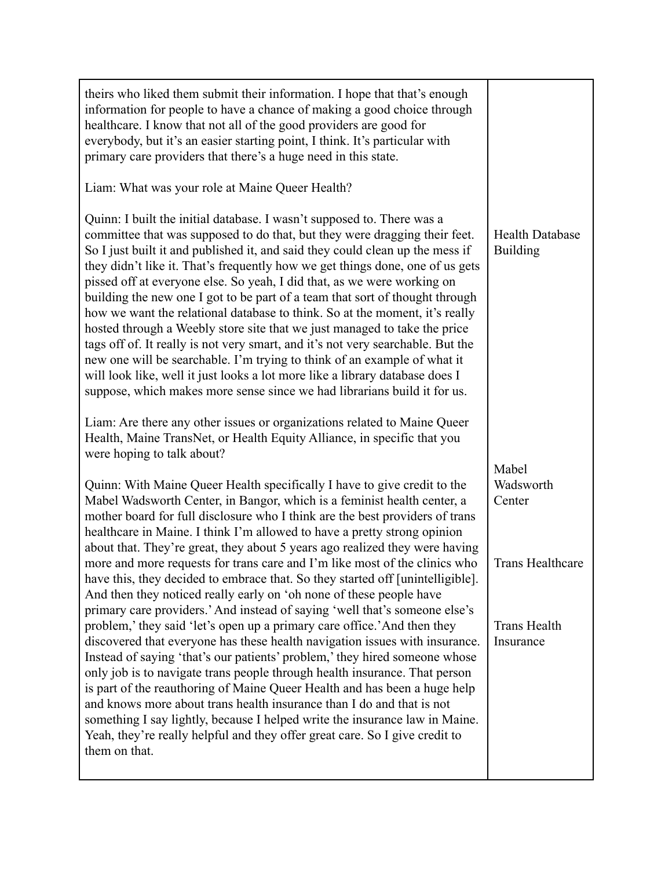| theirs who liked them submit their information. I hope that that's enough<br>information for people to have a chance of making a good choice through<br>healthcare. I know that not all of the good providers are good for<br>everybody, but it's an easier starting point, I think. It's particular with<br>primary care providers that there's a huge need in this state.<br>Liam: What was your role at Maine Queer Health?<br>Quinn: I built the initial database. I wasn't supposed to. There was a<br>committee that was supposed to do that, but they were dragging their feet.<br>So I just built it and published it, and said they could clean up the mess if<br>they didn't like it. That's frequently how we get things done, one of us gets<br>pissed off at everyone else. So yeah, I did that, as we were working on<br>building the new one I got to be part of a team that sort of thought through<br>how we want the relational database to think. So at the moment, it's really<br>hosted through a Weebly store site that we just managed to take the price<br>tags off of. It really is not very smart, and it's not very searchable. But the<br>new one will be searchable. I'm trying to think of an example of what it<br>will look like, well it just looks a lot more like a library database does I<br>suppose, which makes more sense since we had librarians build it for us.<br>Liam: Are there any other issues or organizations related to Maine Queer | <b>Health Database</b><br><b>Building</b> |
|----------------------------------------------------------------------------------------------------------------------------------------------------------------------------------------------------------------------------------------------------------------------------------------------------------------------------------------------------------------------------------------------------------------------------------------------------------------------------------------------------------------------------------------------------------------------------------------------------------------------------------------------------------------------------------------------------------------------------------------------------------------------------------------------------------------------------------------------------------------------------------------------------------------------------------------------------------------------------------------------------------------------------------------------------------------------------------------------------------------------------------------------------------------------------------------------------------------------------------------------------------------------------------------------------------------------------------------------------------------------------------------------------------------------------------------------------------------------------------------|-------------------------------------------|
| Health, Maine TransNet, or Health Equity Alliance, in specific that you<br>were hoping to talk about?                                                                                                                                                                                                                                                                                                                                                                                                                                                                                                                                                                                                                                                                                                                                                                                                                                                                                                                                                                                                                                                                                                                                                                                                                                                                                                                                                                                  |                                           |
| Quinn: With Maine Queer Health specifically I have to give credit to the<br>Mabel Wadsworth Center, in Bangor, which is a feminist health center, a<br>mother board for full disclosure who I think are the best providers of trans<br>healthcare in Maine. I think I'm allowed to have a pretty strong opinion<br>about that. They're great, they about 5 years ago realized they were having                                                                                                                                                                                                                                                                                                                                                                                                                                                                                                                                                                                                                                                                                                                                                                                                                                                                                                                                                                                                                                                                                         | Mabel<br>Wadsworth<br>Center              |
| more and more requests for trans care and I'm like most of the clinics who<br>have this, they decided to embrace that. So they started off [unintelligible].<br>And then they noticed really early on 'oh none of these people have<br>primary care providers.' And instead of saying 'well that's someone else's                                                                                                                                                                                                                                                                                                                                                                                                                                                                                                                                                                                                                                                                                                                                                                                                                                                                                                                                                                                                                                                                                                                                                                      | <b>Trans Healthcare</b>                   |
| problem,' they said 'let's open up a primary care office.' And then they<br>discovered that everyone has these health navigation issues with insurance.<br>Instead of saying 'that's our patients' problem,' they hired someone whose<br>only job is to navigate trans people through health insurance. That person<br>is part of the reauthoring of Maine Queer Health and has been a huge help<br>and knows more about trans health insurance than I do and that is not<br>something I say lightly, because I helped write the insurance law in Maine.<br>Yeah, they're really helpful and they offer great care. So I give credit to<br>them on that.                                                                                                                                                                                                                                                                                                                                                                                                                                                                                                                                                                                                                                                                                                                                                                                                                               | <b>Trans Health</b><br>Insurance          |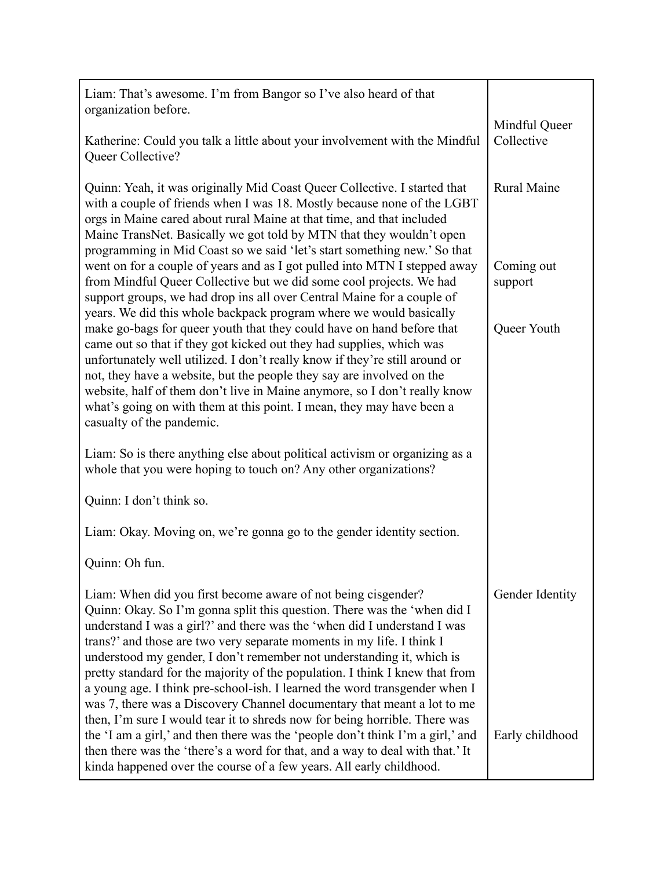| Liam: That's awesome. I'm from Bangor so I've also heard of that<br>organization before.                                                                                                                                                                                                                                                                                                                                                                                                                                                                                                                         |                             |
|------------------------------------------------------------------------------------------------------------------------------------------------------------------------------------------------------------------------------------------------------------------------------------------------------------------------------------------------------------------------------------------------------------------------------------------------------------------------------------------------------------------------------------------------------------------------------------------------------------------|-----------------------------|
| Katherine: Could you talk a little about your involvement with the Mindful<br>Queer Collective?                                                                                                                                                                                                                                                                                                                                                                                                                                                                                                                  | Mindful Queer<br>Collective |
| Quinn: Yeah, it was originally Mid Coast Queer Collective. I started that<br>with a couple of friends when I was 18. Mostly because none of the LGBT<br>orgs in Maine cared about rural Maine at that time, and that included<br>Maine TransNet. Basically we got told by MTN that they wouldn't open<br>programming in Mid Coast so we said 'let's start something new.' So that                                                                                                                                                                                                                                | Rural Maine                 |
| went on for a couple of years and as I got pulled into MTN I stepped away<br>from Mindful Queer Collective but we did some cool projects. We had<br>support groups, we had drop ins all over Central Maine for a couple of                                                                                                                                                                                                                                                                                                                                                                                       | Coming out<br>support       |
| years. We did this whole backpack program where we would basically<br>make go-bags for queer youth that they could have on hand before that<br>came out so that if they got kicked out they had supplies, which was<br>unfortunately well utilized. I don't really know if they're still around or<br>not, they have a website, but the people they say are involved on the<br>website, half of them don't live in Maine anymore, so I don't really know<br>what's going on with them at this point. I mean, they may have been a<br>casualty of the pandemic.                                                   | Queer Youth                 |
| Liam: So is there anything else about political activism or organizing as a<br>whole that you were hoping to touch on? Any other organizations?                                                                                                                                                                                                                                                                                                                                                                                                                                                                  |                             |
| Quinn: I don't think so.                                                                                                                                                                                                                                                                                                                                                                                                                                                                                                                                                                                         |                             |
| Liam: Okay. Moving on, we're gonna go to the gender identity section.                                                                                                                                                                                                                                                                                                                                                                                                                                                                                                                                            |                             |
| Quinn: Oh fun.                                                                                                                                                                                                                                                                                                                                                                                                                                                                                                                                                                                                   |                             |
| Liam: When did you first become aware of not being cisgender?<br>Quinn: Okay. So I'm gonna split this question. There was the 'when did I<br>understand I was a girl?' and there was the 'when did I understand I was<br>trans?' and those are two very separate moments in my life. I think I<br>understood my gender, I don't remember not understanding it, which is<br>pretty standard for the majority of the population. I think I knew that from<br>a young age. I think pre-school-ish. I learned the word transgender when I<br>was 7, there was a Discovery Channel documentary that meant a lot to me | Gender Identity             |
| then, I'm sure I would tear it to shreds now for being horrible. There was<br>the 'I am a girl,' and then there was the 'people don't think I'm a girl,' and<br>then there was the 'there's a word for that, and a way to deal with that.' It<br>kinda happened over the course of a few years. All early childhood.                                                                                                                                                                                                                                                                                             | Early childhood             |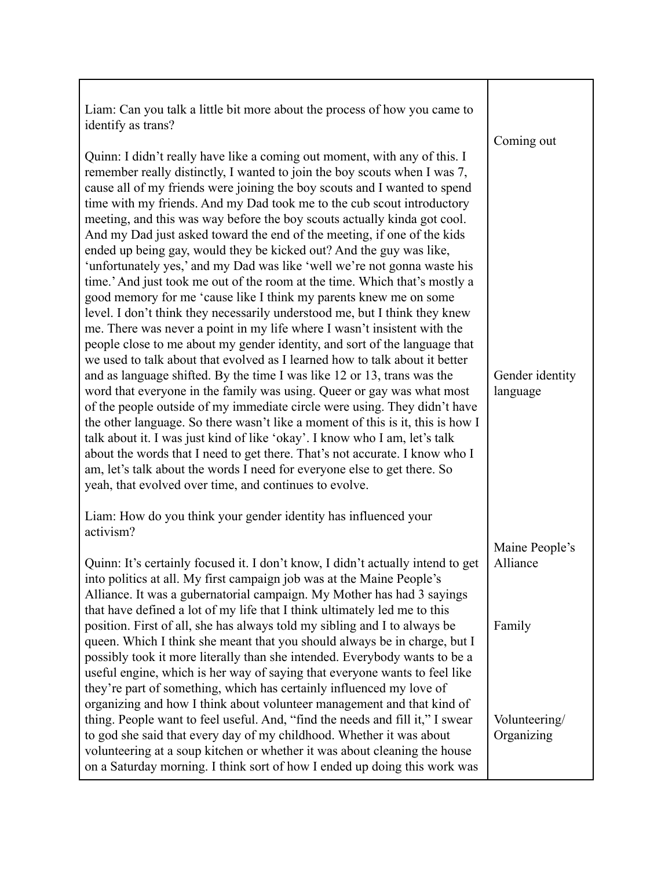| Liam: Can you talk a little bit more about the process of how you came to<br>identify as trans?<br>Quinn: I didn't really have like a coming out moment, with any of this. I                                                                                                                                                                                                                                                                                                                                                                                                                                                                                                                                                                                                                                                                                                                                                                                                                                                                                                                                                                                                                                                                                                                                                                                                                                                                                                                                                                                                                                                                                                                                   | Coming out                  |
|----------------------------------------------------------------------------------------------------------------------------------------------------------------------------------------------------------------------------------------------------------------------------------------------------------------------------------------------------------------------------------------------------------------------------------------------------------------------------------------------------------------------------------------------------------------------------------------------------------------------------------------------------------------------------------------------------------------------------------------------------------------------------------------------------------------------------------------------------------------------------------------------------------------------------------------------------------------------------------------------------------------------------------------------------------------------------------------------------------------------------------------------------------------------------------------------------------------------------------------------------------------------------------------------------------------------------------------------------------------------------------------------------------------------------------------------------------------------------------------------------------------------------------------------------------------------------------------------------------------------------------------------------------------------------------------------------------------|-----------------------------|
| remember really distinctly, I wanted to join the boy scouts when I was 7,<br>cause all of my friends were joining the boy scouts and I wanted to spend<br>time with my friends. And my Dad took me to the cub scout introductory<br>meeting, and this was way before the boy scouts actually kinda got cool.<br>And my Dad just asked toward the end of the meeting, if one of the kids<br>ended up being gay, would they be kicked out? And the guy was like,<br>'unfortunately yes,' and my Dad was like 'well we're not gonna waste his<br>time.' And just took me out of the room at the time. Which that's mostly a<br>good memory for me 'cause like I think my parents knew me on some<br>level. I don't think they necessarily understood me, but I think they knew<br>me. There was never a point in my life where I wasn't insistent with the<br>people close to me about my gender identity, and sort of the language that<br>we used to talk about that evolved as I learned how to talk about it better<br>and as language shifted. By the time I was like 12 or 13, trans was the<br>word that everyone in the family was using. Queer or gay was what most<br>of the people outside of my immediate circle were using. They didn't have<br>the other language. So there wasn't like a moment of this is it, this is how I<br>talk about it. I was just kind of like 'okay'. I know who I am, let's talk<br>about the words that I need to get there. That's not accurate. I know who I<br>am, let's talk about the words I need for everyone else to get there. So<br>yeah, that evolved over time, and continues to evolve.<br>Liam: How do you think your gender identity has influenced your | Gender identity<br>language |
| activism?                                                                                                                                                                                                                                                                                                                                                                                                                                                                                                                                                                                                                                                                                                                                                                                                                                                                                                                                                                                                                                                                                                                                                                                                                                                                                                                                                                                                                                                                                                                                                                                                                                                                                                      | Maine People's              |
| Quinn: It's certainly focused it. I don't know, I didn't actually intend to get<br>into politics at all. My first campaign job was at the Maine People's<br>Alliance. It was a gubernatorial campaign. My Mother has had 3 sayings<br>that have defined a lot of my life that I think ultimately led me to this<br>position. First of all, she has always told my sibling and I to always be<br>queen. Which I think she meant that you should always be in charge, but I<br>possibly took it more literally than she intended. Everybody wants to be a<br>useful engine, which is her way of saying that everyone wants to feel like                                                                                                                                                                                                                                                                                                                                                                                                                                                                                                                                                                                                                                                                                                                                                                                                                                                                                                                                                                                                                                                                          | Alliance<br>Family          |
| they're part of something, which has certainly influenced my love of<br>organizing and how I think about volunteer management and that kind of<br>thing. People want to feel useful. And, "find the needs and fill it," I swear<br>to god she said that every day of my childhood. Whether it was about<br>volunteering at a soup kitchen or whether it was about cleaning the house<br>on a Saturday morning. I think sort of how I ended up doing this work was                                                                                                                                                                                                                                                                                                                                                                                                                                                                                                                                                                                                                                                                                                                                                                                                                                                                                                                                                                                                                                                                                                                                                                                                                                              | Volunteering/<br>Organizing |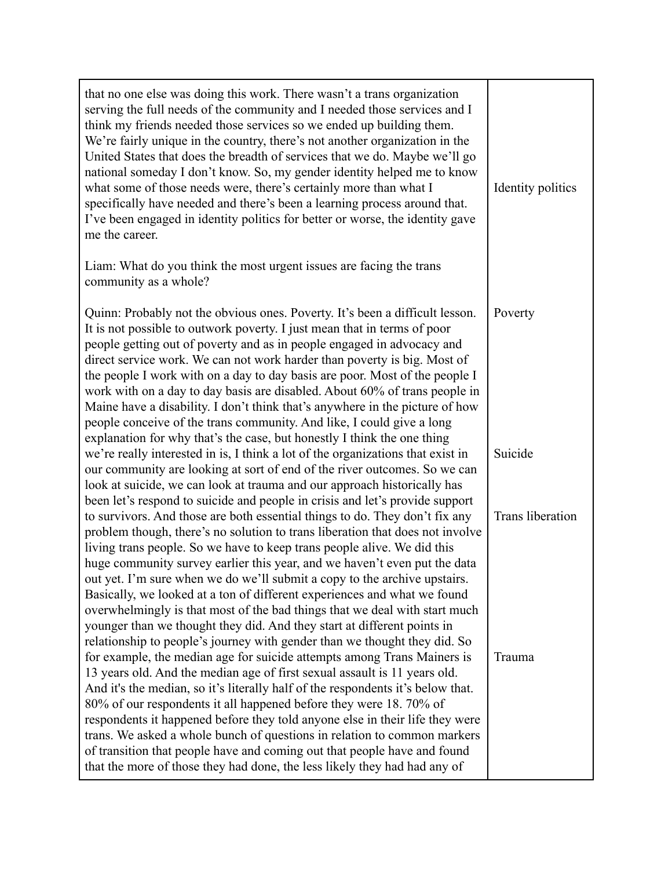| that no one else was doing this work. There wasn't a trans organization<br>serving the full needs of the community and I needed those services and I<br>think my friends needed those services so we ended up building them.<br>We're fairly unique in the country, there's not another organization in the<br>United States that does the breadth of services that we do. Maybe we'll go<br>national someday I don't know. So, my gender identity helped me to know<br>what some of those needs were, there's certainly more than what I<br>specifically have needed and there's been a learning process around that.<br>I've been engaged in identity politics for better or worse, the identity gave<br>me the career. | Identity politics       |
|---------------------------------------------------------------------------------------------------------------------------------------------------------------------------------------------------------------------------------------------------------------------------------------------------------------------------------------------------------------------------------------------------------------------------------------------------------------------------------------------------------------------------------------------------------------------------------------------------------------------------------------------------------------------------------------------------------------------------|-------------------------|
| Liam: What do you think the most urgent issues are facing the trans<br>community as a whole?                                                                                                                                                                                                                                                                                                                                                                                                                                                                                                                                                                                                                              |                         |
| Quinn: Probably not the obvious ones. Poverty. It's been a difficult lesson.<br>It is not possible to outwork poverty. I just mean that in terms of poor<br>people getting out of poverty and as in people engaged in advocacy and<br>direct service work. We can not work harder than poverty is big. Most of<br>the people I work with on a day to day basis are poor. Most of the people I<br>work with on a day to day basis are disabled. About 60% of trans people in<br>Maine have a disability. I don't think that's anywhere in the picture of how<br>people conceive of the trans community. And like, I could give a long<br>explanation for why that's the case, but honestly I think the one thing           | Poverty                 |
| we're really interested in is, I think a lot of the organizations that exist in<br>our community are looking at sort of end of the river outcomes. So we can<br>look at suicide, we can look at trauma and our approach historically has<br>been let's respond to suicide and people in crisis and let's provide support                                                                                                                                                                                                                                                                                                                                                                                                  | Suicide                 |
| to survivors. And those are both essential things to do. They don't fix any<br>problem though, there's no solution to trans liberation that does not involve<br>living trans people. So we have to keep trans people alive. We did this<br>huge community survey earlier this year, and we haven't even put the data<br>out yet. I'm sure when we do we'll submit a copy to the archive upstairs.<br>Basically, we looked at a ton of different experiences and what we found<br>overwhelmingly is that most of the bad things that we deal with start much<br>younger than we thought they did. And they start at different points in<br>relationship to people's journey with gender than we thought they did. So       | <b>Trans</b> liberation |
| for example, the median age for suicide attempts among Trans Mainers is<br>13 years old. And the median age of first sexual assault is 11 years old.<br>And it's the median, so it's literally half of the respondents it's below that.<br>80% of our respondents it all happened before they were 18.70% of<br>respondents it happened before they told anyone else in their life they were<br>trans. We asked a whole bunch of questions in relation to common markers<br>of transition that people have and coming out that people have and found<br>that the more of those they had done, the less likely they had had any of                                                                                         | Trauma                  |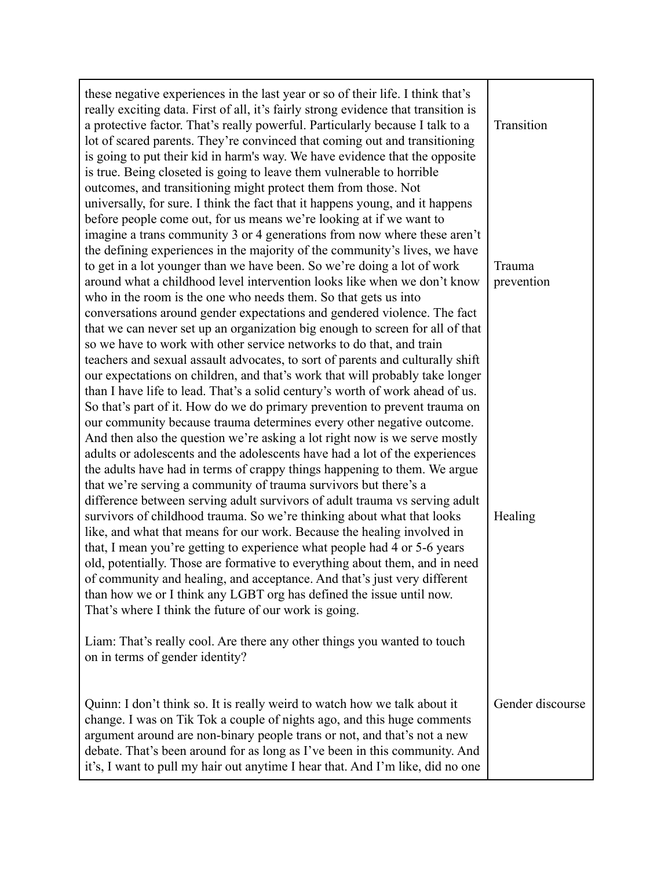| these negative experiences in the last year or so of their life. I think that's<br>really exciting data. First of all, it's fairly strong evidence that transition is<br>a protective factor. That's really powerful. Particularly because I talk to a<br>lot of scared parents. They're convinced that coming out and transitioning<br>is going to put their kid in harm's way. We have evidence that the opposite<br>is true. Being closeted is going to leave them vulnerable to horrible<br>outcomes, and transitioning might protect them from those. Not<br>universally, for sure. I think the fact that it happens young, and it happens                                                                                                                                                                                                                                                                                                                                                                                                                                                                                                                                                                                                                                                                                  | Transition           |
|----------------------------------------------------------------------------------------------------------------------------------------------------------------------------------------------------------------------------------------------------------------------------------------------------------------------------------------------------------------------------------------------------------------------------------------------------------------------------------------------------------------------------------------------------------------------------------------------------------------------------------------------------------------------------------------------------------------------------------------------------------------------------------------------------------------------------------------------------------------------------------------------------------------------------------------------------------------------------------------------------------------------------------------------------------------------------------------------------------------------------------------------------------------------------------------------------------------------------------------------------------------------------------------------------------------------------------|----------------------|
| before people come out, for us means we're looking at if we want to<br>imagine a trans community 3 or 4 generations from now where these aren't<br>the defining experiences in the majority of the community's lives, we have<br>to get in a lot younger than we have been. So we're doing a lot of work<br>around what a childhood level intervention looks like when we don't know<br>who in the room is the one who needs them. So that gets us into<br>conversations around gender expectations and gendered violence. The fact<br>that we can never set up an organization big enough to screen for all of that<br>so we have to work with other service networks to do that, and train                                                                                                                                                                                                                                                                                                                                                                                                                                                                                                                                                                                                                                     | Trauma<br>prevention |
| teachers and sexual assault advocates, to sort of parents and culturally shift<br>our expectations on children, and that's work that will probably take longer<br>than I have life to lead. That's a solid century's worth of work ahead of us.<br>So that's part of it. How do we do primary prevention to prevent trauma on<br>our community because trauma determines every other negative outcome.<br>And then also the question we're asking a lot right now is we serve mostly<br>adults or adolescents and the adolescents have had a lot of the experiences<br>the adults have had in terms of crappy things happening to them. We argue<br>that we're serving a community of trauma survivors but there's a<br>difference between serving adult survivors of adult trauma vs serving adult<br>survivors of childhood trauma. So we're thinking about what that looks<br>like, and what that means for our work. Because the healing involved in<br>that, I mean you're getting to experience what people had 4 or 5-6 years<br>old, potentially. Those are formative to everything about them, and in need<br>of community and healing, and acceptance. And that's just very different<br>than how we or I think any LGBT org has defined the issue until now.<br>That's where I think the future of our work is going. | Healing              |
| Liam: That's really cool. Are there any other things you wanted to touch<br>on in terms of gender identity?                                                                                                                                                                                                                                                                                                                                                                                                                                                                                                                                                                                                                                                                                                                                                                                                                                                                                                                                                                                                                                                                                                                                                                                                                      |                      |
| Quinn: I don't think so. It is really weird to watch how we talk about it<br>change. I was on Tik Tok a couple of nights ago, and this huge comments<br>argument around are non-binary people trans or not, and that's not a new<br>debate. That's been around for as long as I've been in this community. And<br>it's, I want to pull my hair out anytime I hear that. And I'm like, did no one                                                                                                                                                                                                                                                                                                                                                                                                                                                                                                                                                                                                                                                                                                                                                                                                                                                                                                                                 | Gender discourse     |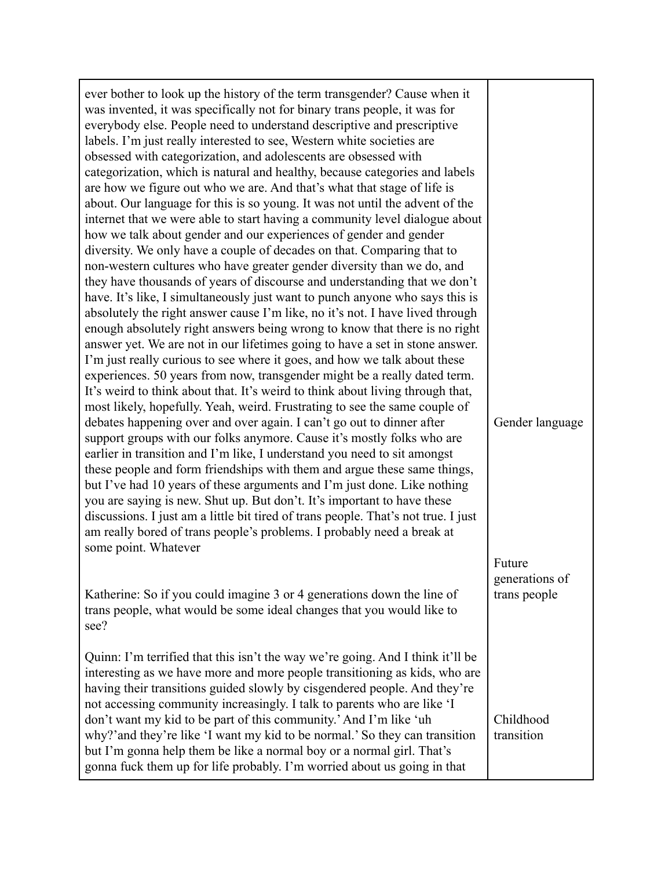| ever bother to look up the history of the term transgender? Cause when it<br>was invented, it was specifically not for binary trans people, it was for<br>everybody else. People need to understand descriptive and prescriptive<br>labels. I'm just really interested to see, Western white societies are<br>obsessed with categorization, and adolescents are obsessed with<br>categorization, which is natural and healthy, because categories and labels<br>are how we figure out who we are. And that's what that stage of life is<br>about. Our language for this is so young. It was not until the advent of the<br>internet that we were able to start having a community level dialogue about<br>how we talk about gender and our experiences of gender and gender<br>diversity. We only have a couple of decades on that. Comparing that to<br>non-western cultures who have greater gender diversity than we do, and<br>they have thousands of years of discourse and understanding that we don't<br>have. It's like, I simultaneously just want to punch anyone who says this is<br>absolutely the right answer cause I'm like, no it's not. I have lived through<br>enough absolutely right answers being wrong to know that there is no right<br>answer yet. We are not in our lifetimes going to have a set in stone answer.<br>I'm just really curious to see where it goes, and how we talk about these<br>experiences. 50 years from now, transgender might be a really dated term.<br>It's weird to think about that. It's weird to think about living through that,<br>most likely, hopefully. Yeah, weird. Frustrating to see the same couple of<br>debates happening over and over again. I can't go out to dinner after<br>support groups with our folks anymore. Cause it's mostly folks who are<br>earlier in transition and I'm like, I understand you need to sit amongst<br>these people and form friendships with them and argue these same things,<br>but I've had 10 years of these arguments and I'm just done. Like nothing<br>you are saying is new. Shut up. But don't. It's important to have these<br>discussions. I just am a little bit tired of trans people. That's not true. I just<br>am really bored of trans people's problems. I probably need a break at<br>some point. Whatever<br>Katherine: So if you could imagine 3 or 4 generations down the line of<br>trans people, what would be some ideal changes that you would like to<br>see? | Gender language<br>Future<br>generations of<br>trans people |
|--------------------------------------------------------------------------------------------------------------------------------------------------------------------------------------------------------------------------------------------------------------------------------------------------------------------------------------------------------------------------------------------------------------------------------------------------------------------------------------------------------------------------------------------------------------------------------------------------------------------------------------------------------------------------------------------------------------------------------------------------------------------------------------------------------------------------------------------------------------------------------------------------------------------------------------------------------------------------------------------------------------------------------------------------------------------------------------------------------------------------------------------------------------------------------------------------------------------------------------------------------------------------------------------------------------------------------------------------------------------------------------------------------------------------------------------------------------------------------------------------------------------------------------------------------------------------------------------------------------------------------------------------------------------------------------------------------------------------------------------------------------------------------------------------------------------------------------------------------------------------------------------------------------------------------------------------------------------------------------------------------------------------------------------------------------------------------------------------------------------------------------------------------------------------------------------------------------------------------------------------------------------------------------------------------------------------------------------------------------------------------------------------------------------------------------------------------------------------------------------|-------------------------------------------------------------|
| Quinn: I'm terrified that this isn't the way we're going. And I think it'll be<br>interesting as we have more and more people transitioning as kids, who are<br>having their transitions guided slowly by cisgendered people. And they're<br>not accessing community increasingly. I talk to parents who are like 'I<br>don't want my kid to be part of this community.' And I'm like 'uh<br>why?' and they're like 'I want my kid to be normal.' So they can transition<br>but I'm gonna help them be like a normal boy or a normal girl. That's<br>gonna fuck them up for life probably. I'm worried about us going in that                                                                                                                                                                                                                                                                                                                                                                                                                                                                                                                                                                                                                                                                                                                                                                                                                                                                                                                                                                                                                                                                                                                                                                                                                                                                                                                                                                                                                                                                                                                                                                                                                                                                                                                                                                                                                                                              | Childhood<br>transition                                     |